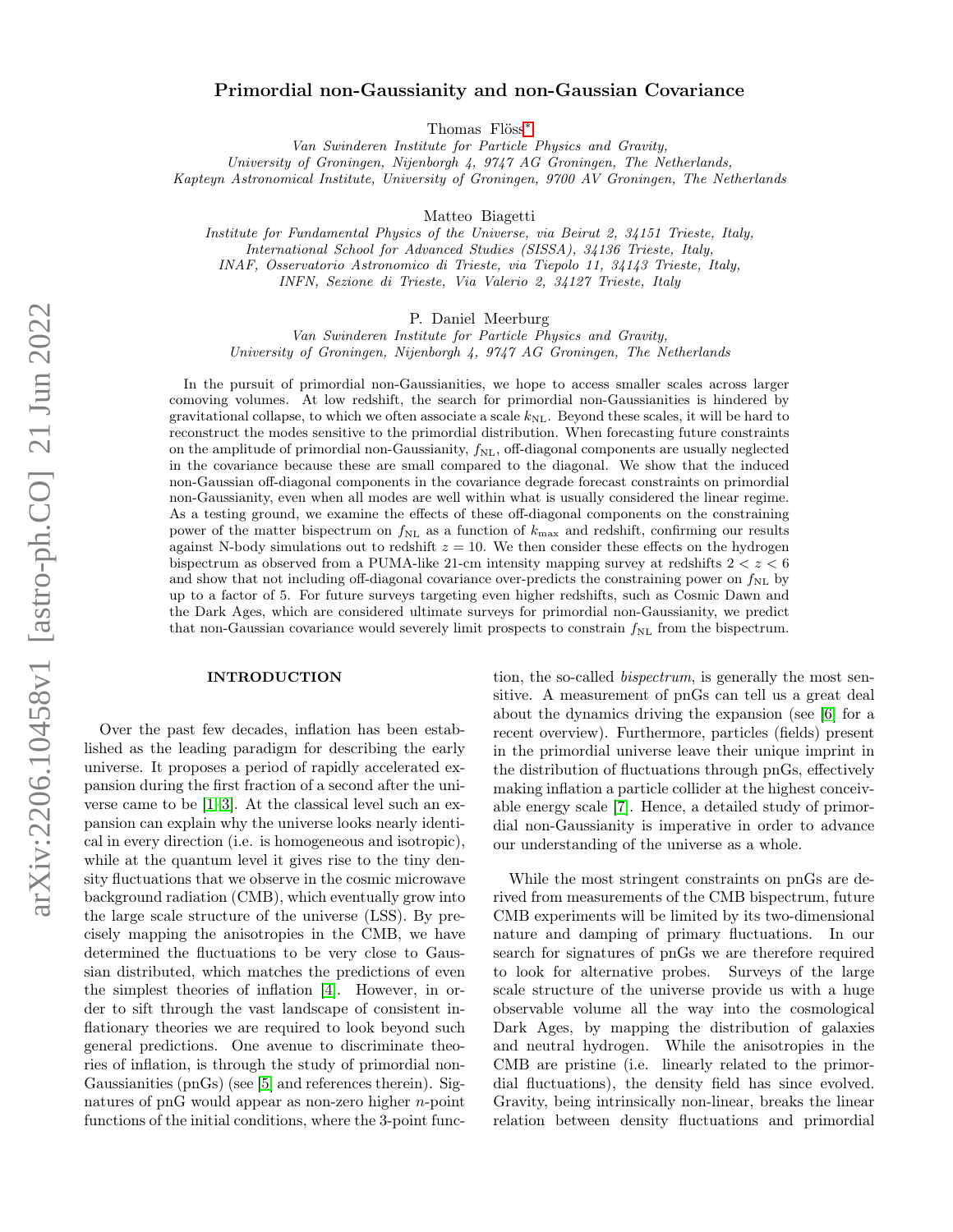# arXiv:2206.10458v1 [astro-ph.CO] 21 Jun 2022 arXiv:2206.10458v1 [astro-ph.CO] 21 Jun 2022

# Primordial non-Gaussianity and non-Gaussian Covariance

Thomas Flöss[∗](#page-9-0)

Van Swinderen Institute for Particle Physics and Gravity, University of Groningen, Nijenborgh 4, 9747 AG Groningen, The Netherlands, Kapteyn Astronomical Institute, University of Groningen, 9700 AV Groningen, The Netherlands

Matteo Biagetti

Institute for Fundamental Physics of the Universe, via Beirut 2, 34151 Trieste, Italy, International School for Advanced Studies (SISSA), 34136 Trieste, Italy, INAF, Osservatorio Astronomico di Trieste, via Tiepolo 11, 34143 Trieste, Italy, INFN, Sezione di Trieste, Via Valerio 2, 34127 Trieste, Italy

P. Daniel Meerburg

Van Swinderen Institute for Particle Physics and Gravity, University of Groningen, Nijenborgh 4, 9747 AG Groningen, The Netherlands

In the pursuit of primordial non-Gaussianities, we hope to access smaller scales across larger comoving volumes. At low redshift, the search for primordial non-Gaussianities is hindered by gravitational collapse, to which we often associate a scale  $k_{\text{NL}}$ . Beyond these scales, it will be hard to reconstruct the modes sensitive to the primordial distribution. When forecasting future constraints on the amplitude of primordial non-Gaussianity,  $f_{NL}$ , off-diagonal components are usually neglected in the covariance because these are small compared to the diagonal. We show that the induced non-Gaussian off-diagonal components in the covariance degrade forecast constraints on primordial non-Gaussianity, even when all modes are well within what is usually considered the linear regime. As a testing ground, we examine the effects of these off-diagonal components on the constraining power of the matter bispectrum on  $f_{\text{NL}}$  as a function of  $k_{\text{max}}$  and redshift, confirming our results against N-body simulations out to redshift  $z = 10$ . We then consider these effects on the hydrogen bispectrum as observed from a PUMA-like 21-cm intensity mapping survey at redshifts  $2 < z < 6$ and show that not including off-diagonal covariance over-predicts the constraining power on  $f_{\text{NL}}$  by up to a factor of 5. For future surveys targeting even higher redshifts, such as Cosmic Dawn and the Dark Ages, which are considered ultimate surveys for primordial non-Gaussianity, we predict that non-Gaussian covariance would severely limit prospects to constrain  $f_{\rm NL}$  from the bispectrum.

# INTRODUCTION

Over the past few decades, inflation has been established as the leading paradigm for describing the early universe. It proposes a period of rapidly accelerated expansion during the first fraction of a second after the universe came to be [\[1–](#page-9-1)[3\]](#page-9-2). At the classical level such an expansion can explain why the universe looks nearly identical in every direction (i.e. is homogeneous and isotropic), while at the quantum level it gives rise to the tiny density fluctuations that we observe in the cosmic microwave background radiation (CMB), which eventually grow into the large scale structure of the universe (LSS). By precisely mapping the anisotropies in the CMB, we have determined the fluctuations to be very close to Gaussian distributed, which matches the predictions of even the simplest theories of inflation [\[4\]](#page-9-3). However, in order to sift through the vast landscape of consistent inflationary theories we are required to look beyond such general predictions. One avenue to discriminate theories of inflation, is through the study of primordial non-Gaussianities (pnGs) (see [\[5\]](#page-9-4) and references therein). Signatures of pnG would appear as non-zero higher  $n$ -point functions of the initial conditions, where the 3-point func-

tion, the so-called *bispectrum*, is generally the most sensitive. A measurement of pnGs can tell us a great deal about the dynamics driving the expansion (see [\[6\]](#page-9-5) for a recent overview). Furthermore, particles (fields) present in the primordial universe leave their unique imprint in the distribution of fluctuations through pnGs, effectively making inflation a particle collider at the highest conceivable energy scale [\[7\]](#page-9-6). Hence, a detailed study of primordial non-Gaussianity is imperative in order to advance our understanding of the universe as a whole.

While the most stringent constraints on pnGs are derived from measurements of the CMB bispectrum, future CMB experiments will be limited by its two-dimensional nature and damping of primary fluctuations. In our search for signatures of pnGs we are therefore required to look for alternative probes. Surveys of the large scale structure of the universe provide us with a huge observable volume all the way into the cosmological Dark Ages, by mapping the distribution of galaxies and neutral hydrogen. While the anisotropies in the CMB are pristine (i.e. linearly related to the primordial fluctuations), the density field has since evolved. Gravity, being intrinsically non-linear, breaks the linear relation between density fluctuations and primordial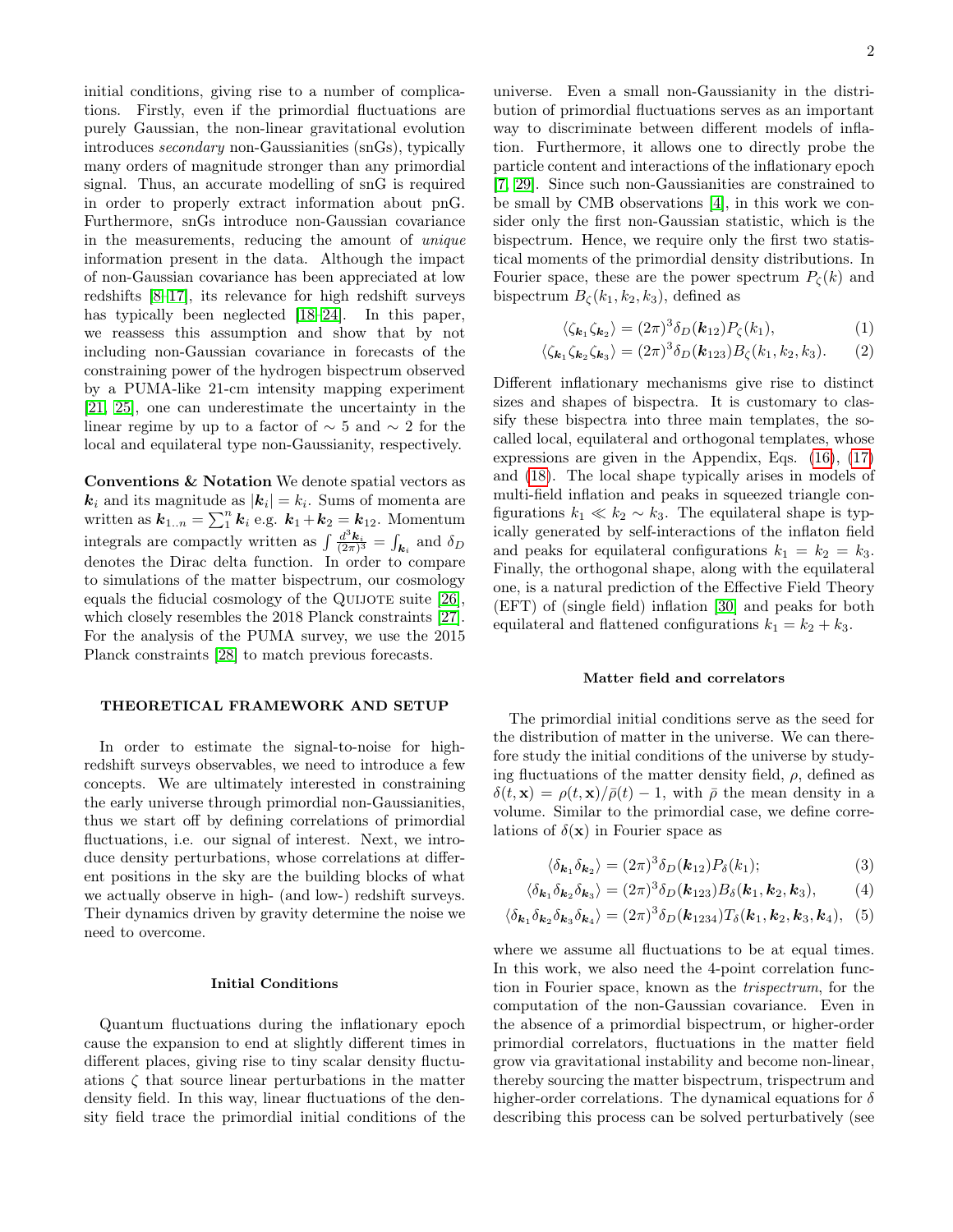initial conditions, giving rise to a number of complications. Firstly, even if the primordial fluctuations are purely Gaussian, the non-linear gravitational evolution introduces secondary non-Gaussianities (snGs), typically many orders of magnitude stronger than any primordial signal. Thus, an accurate modelling of snG is required in order to properly extract information about pnG. Furthermore, snGs introduce non-Gaussian covariance in the measurements, reducing the amount of unique information present in the data. Although the impact of non-Gaussian covariance has been appreciated at low redshifts [\[8](#page-9-7)[–17\]](#page-10-0), its relevance for high redshift surveys has typically been neglected [\[18](#page-10-1)[–24\]](#page-10-2). In this paper, we reassess this assumption and show that by not including non-Gaussian covariance in forecasts of the constraining power of the hydrogen bispectrum observed by a PUMA-like 21-cm intensity mapping experiment [\[21,](#page-10-3) [25\]](#page-10-4), one can underestimate the uncertainty in the linear regime by up to a factor of  $\sim$  5 and  $\sim$  2 for the local and equilateral type non-Gaussianity, respectively.

Conventions & Notation We denote spatial vectors as  $k_i$  and its magnitude as  $|\mathbf{k}_i| = k_i$ . Sums of momenta are written as  $\mathbf{k}_{1..n} = \sum_{1}^{n} \mathbf{k}_i$  e.g.  $\mathbf{k}_1 + \mathbf{k}_2 = \mathbf{k}_{12}$ . Momentum integrals are compactly written as  $\int \frac{d^3 \mathbf{k}_i}{(2\pi)^3} = \int_{\mathbf{k}_i}$  and  $\delta_D$ denotes the Dirac delta function. In order to compare to simulations of the matter bispectrum, our cosmology equals the fiducial cosmology of the QUIJOTE suite [\[26\]](#page-10-5). which closely resembles the 2018 Planck constraints [\[27\]](#page-10-6). For the analysis of the PUMA survey, we use the 2015 Planck constraints [\[28\]](#page-10-7) to match previous forecasts.

### THEORETICAL FRAMEWORK AND SETUP

In order to estimate the signal-to-noise for highredshift surveys observables, we need to introduce a few concepts. We are ultimately interested in constraining the early universe through primordial non-Gaussianities, thus we start off by defining correlations of primordial fluctuations, i.e. our signal of interest. Next, we introduce density perturbations, whose correlations at different positions in the sky are the building blocks of what we actually observe in high- (and low-) redshift surveys. Their dynamics driven by gravity determine the noise we need to overcome.

### Initial Conditions

Quantum fluctuations during the inflationary epoch cause the expansion to end at slightly different times in different places, giving rise to tiny scalar density fluctuations  $\zeta$  that source linear perturbations in the matter density field. In this way, linear fluctuations of the density field trace the primordial initial conditions of the

universe. Even a small non-Gaussianity in the distribution of primordial fluctuations serves as an important way to discriminate between different models of inflation. Furthermore, it allows one to directly probe the particle content and interactions of the inflationary epoch [\[7,](#page-9-6) [29\]](#page-10-8). Since such non-Gaussianities are constrained to be small by CMB observations [\[4\]](#page-9-3), in this work we consider only the first non-Gaussian statistic, which is the bispectrum. Hence, we require only the first two statistical moments of the primordial density distributions. In Fourier space, these are the power spectrum  $P_{\zeta}(k)$  and bispectrum  $B_{\zeta}(k_1, k_2, k_3)$ , defined as

<span id="page-1-0"></span>
$$
\langle \zeta_{\mathbf{k}_1} \zeta_{\mathbf{k}_2} \rangle = (2\pi)^3 \delta_D(\mathbf{k}_{12}) P_{\zeta}(k_1), \tag{1}
$$

$$
\langle \zeta_{\mathbf{k}_1} \zeta_{\mathbf{k}_2} \zeta_{\mathbf{k}_3} \rangle = (2\pi)^3 \delta_D(\mathbf{k}_{123}) B_{\zeta}(k_1, k_2, k_3). \tag{2}
$$

Different inflationary mechanisms give rise to distinct sizes and shapes of bispectra. It is customary to classify these bispectra into three main templates, the socalled local, equilateral and orthogonal templates, whose expressions are given in the Appendix, Eqs. [\(16\)](#page-6-0), [\(17\)](#page-6-0) and [\(18\)](#page-6-0). The local shape typically arises in models of multi-field inflation and peaks in squeezed triangle configurations  $k_1 \ll k_2 \sim k_3$ . The equilateral shape is typically generated by self-interactions of the inflaton field and peaks for equilateral configurations  $k_1 = k_2 = k_3$ . Finally, the orthogonal shape, along with the equilateral one, is a natural prediction of the Effective Field Theory (EFT) of (single field) inflation [\[30\]](#page-10-9) and peaks for both equilateral and flattened configurations  $k_1 = k_2 + k_3$ .

# Matter field and correlators

The primordial initial conditions serve as the seed for the distribution of matter in the universe. We can therefore study the initial conditions of the universe by studying fluctuations of the matter density field,  $\rho$ , defined as  $\delta(t, \mathbf{x}) = \rho(t, \mathbf{x})/\overline{\rho}(t) - 1$ , with  $\overline{\rho}$  the mean density in a volume. Similar to the primordial case, we define correlations of  $\delta(\mathbf{x})$  in Fourier space as

$$
\langle \delta_{\mathbf{k}_1} \delta_{\mathbf{k}_2} \rangle = (2\pi)^3 \delta_D(\mathbf{k}_{12}) P_\delta(k_1); \tag{3}
$$

$$
\langle \delta_{\mathbf{k}_1} \delta_{\mathbf{k}_2} \delta_{\mathbf{k}_3} \rangle = (2\pi)^3 \delta_D(\mathbf{k}_{123}) B_\delta(\mathbf{k}_1, \mathbf{k}_2, \mathbf{k}_3), \tag{4}
$$

$$
\langle \delta_{\mathbf{k}_1} \delta_{\mathbf{k}_2} \delta_{\mathbf{k}_3} \delta_{\mathbf{k}_4} \rangle = (2\pi)^3 \delta_D(\mathbf{k}_{1234}) T_\delta(\mathbf{k}_1, \mathbf{k}_2, \mathbf{k}_3, \mathbf{k}_4), \tag{5}
$$

where we assume all fluctuations to be at equal times. In this work, we also need the 4-point correlation function in Fourier space, known as the trispectrum, for the computation of the non-Gaussian covariance. Even in the absence of a primordial bispectrum, or higher-order primordial correlators, fluctuations in the matter field grow via gravitational instability and become non-linear, thereby sourcing the matter bispectrum, trispectrum and higher-order correlations. The dynamical equations for  $\delta$ describing this process can be solved perturbatively (see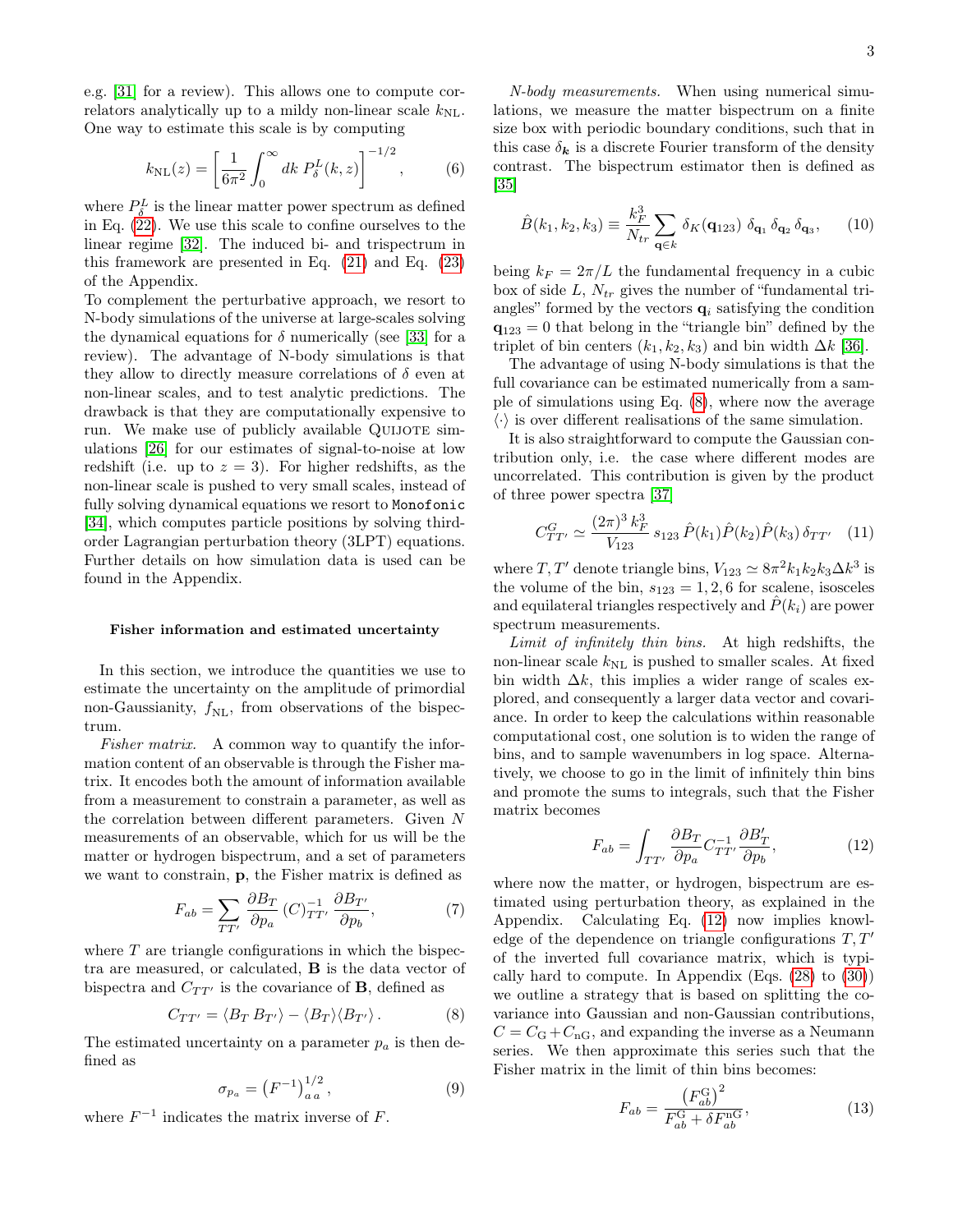e.g. [\[31\]](#page-10-10) for a review). This allows one to compute correlators analytically up to a mildy non-linear scale  $k_{\text{NL}}$ . One way to estimate this scale is by computing

<span id="page-2-4"></span>
$$
k_{\rm NL}(z) = \left[\frac{1}{6\pi^2} \int_0^\infty dk \ P_\delta^L(k, z)\right]^{-1/2},\tag{6}
$$

where  $P_{\delta}^{L}$  is the linear matter power spectrum as defined in Eq. [\(22\)](#page-6-1). We use this scale to confine ourselves to the linear regime [\[32\]](#page-10-11). The induced bi- and trispectrum in this framework are presented in Eq. [\(21\)](#page-6-2) and Eq. [\(23\)](#page-6-3) of the Appendix.

To complement the perturbative approach, we resort to N-body simulations of the universe at large-scales solving the dynamical equations for  $\delta$  numerically (see [\[33\]](#page-10-12) for a review). The advantage of N-body simulations is that they allow to directly measure correlations of  $\delta$  even at non-linear scales, and to test analytic predictions. The drawback is that they are computationally expensive to run. We make use of publicly available QUIJOTE simulations [\[26\]](#page-10-5) for our estimates of signal-to-noise at low redshift (i.e. up to  $z = 3$ ). For higher redshifts, as the non-linear scale is pushed to very small scales, instead of fully solving dynamical equations we resort to Monofonic [\[34\]](#page-10-13), which computes particle positions by solving thirdorder Lagrangian perturbation theory (3LPT) equations. Further details on how simulation data is used can be found in the Appendix.

### Fisher information and estimated uncertainty

In this section, we introduce the quantities we use to estimate the uncertainty on the amplitude of primordial non-Gaussianity,  $f_{\text{NL}}$ , from observations of the bispectrum.

Fisher matrix. A common way to quantify the information content of an observable is through the Fisher matrix. It encodes both the amount of information available from a measurement to constrain a parameter, as well as the correlation between different parameters. Given N measurements of an observable, which for us will be the matter or hydrogen bispectrum, and a set of parameters we want to constrain, p, the Fisher matrix is defined as

<span id="page-2-6"></span>
$$
F_{ab} = \sum_{TT'} \frac{\partial B_T}{\partial p_a} \left( C \right)_{TT'}^{-1} \frac{\partial B_{T'}}{\partial p_b},\tag{7}
$$

where  $T$  are triangle configurations in which the bispectra are measured, or calculated, B is the data vector of bispectra and  $C_{TT'}$  is the covariance of **B**, defined as

<span id="page-2-0"></span>
$$
C_{TT'} = \langle B_T B_{T'} \rangle - \langle B_T \rangle \langle B_{T'} \rangle. \tag{8}
$$

The estimated uncertainty on a parameter  $p_a$  is then defined as

$$
\sigma_{p_a} = \left(F^{-1}\right)^{1/2}_{a\,a},\tag{9}
$$

where  $F^{-1}$  indicates the matrix inverse of F.

N-body measurements. When using numerical simulations, we measure the matter bispectrum on a finite size box with periodic boundary conditions, such that in this case  $\delta_{\mathbf{k}}$  is a discrete Fourier transform of the density contrast. The bispectrum estimator then is defined as [\[35\]](#page-10-14)

<span id="page-2-2"></span>
$$
\hat{B}(k_1, k_2, k_3) \equiv \frac{k_F^3}{N_{tr}} \sum_{\mathbf{q} \in k} \delta_K(\mathbf{q}_{123}) \delta_{\mathbf{q}_1} \delta_{\mathbf{q}_2} \delta_{\mathbf{q}_3}, \qquad (10)
$$

being  $k_F = 2\pi/L$  the fundamental frequency in a cubic box of side  $L, N_{tr}$  gives the number of "fundamental triangles" formed by the vectors  $q_i$  satisfying the condition  $q_{123} = 0$  that belong in the "triangle bin" defined by the triplet of bin centers  $(k_1, k_2, k_3)$  and bin width  $\Delta k$  [\[36\]](#page-10-15).

The advantage of using N-body simulations is that the full covariance can be estimated numerically from a sample of simulations using Eq. [\(8\)](#page-2-0), where now the average  $\langle \cdot \rangle$  is over different realisations of the same simulation.

It is also straightforward to compute the Gaussian contribution only, i.e. the case where different modes are uncorrelated. This contribution is given by the product of three power spectra [\[37\]](#page-10-16)

<span id="page-2-3"></span>
$$
C_{TT'}^G \simeq \frac{(2\pi)^3 k_F^3}{V_{123}} s_{123} \,\hat{P}(k_1) \hat{P}(k_2) \hat{P}(k_3) \,\delta_{TT'} \quad (11)
$$

where T, T' denote triangle bins,  $V_{123} \simeq 8\pi^2 k_1 k_2 k_3 \Delta k^3$  is the volume of the bin,  $s_{123} = 1, 2, 6$  for scalene, isosceles and equilateral triangles respectively and  $P(k_i)$  are power spectrum measurements.

Limit of infinitely thin bins. At high redshifts, the non-linear scale  $k_{\text{NL}}$  is pushed to smaller scales. At fixed bin width  $\Delta k$ , this implies a wider range of scales explored, and consequently a larger data vector and covariance. In order to keep the calculations within reasonable computational cost, one solution is to widen the range of bins, and to sample wavenumbers in log space. Alternatively, we choose to go in the limit of infinitely thin bins and promote the sums to integrals, such that the Fisher matrix becomes

<span id="page-2-1"></span>
$$
F_{ab} = \int_{TT'} \frac{\partial B_T}{\partial p_a} C_{TT'}^{-1} \frac{\partial B'_T}{\partial p_b},\tag{12}
$$

where now the matter, or hydrogen, bispectrum are estimated using perturbation theory, as explained in the Appendix. Calculating Eq. [\(12\)](#page-2-1) now implies knowledge of the dependence on triangle configurations  $T, T'$ of the inverted full covariance matrix, which is typically hard to compute. In Appendix (Eqs. [\(28\)](#page-7-0) to [\(30\)](#page-7-1)) we outline a strategy that is based on splitting the covariance into Gaussian and non-Gaussian contributions,  $C = C_{\rm G} + C_{\rm nG}$ , and expanding the inverse as a Neumann series. We then approximate this series such that the Fisher matrix in the limit of thin bins becomes:

<span id="page-2-5"></span>
$$
F_{ab} = \frac{\left(F_{ab}^{\text{G}}\right)^2}{F_{ab}^{\text{G}} + \delta F_{ab}^{\text{nG}}},\tag{13}
$$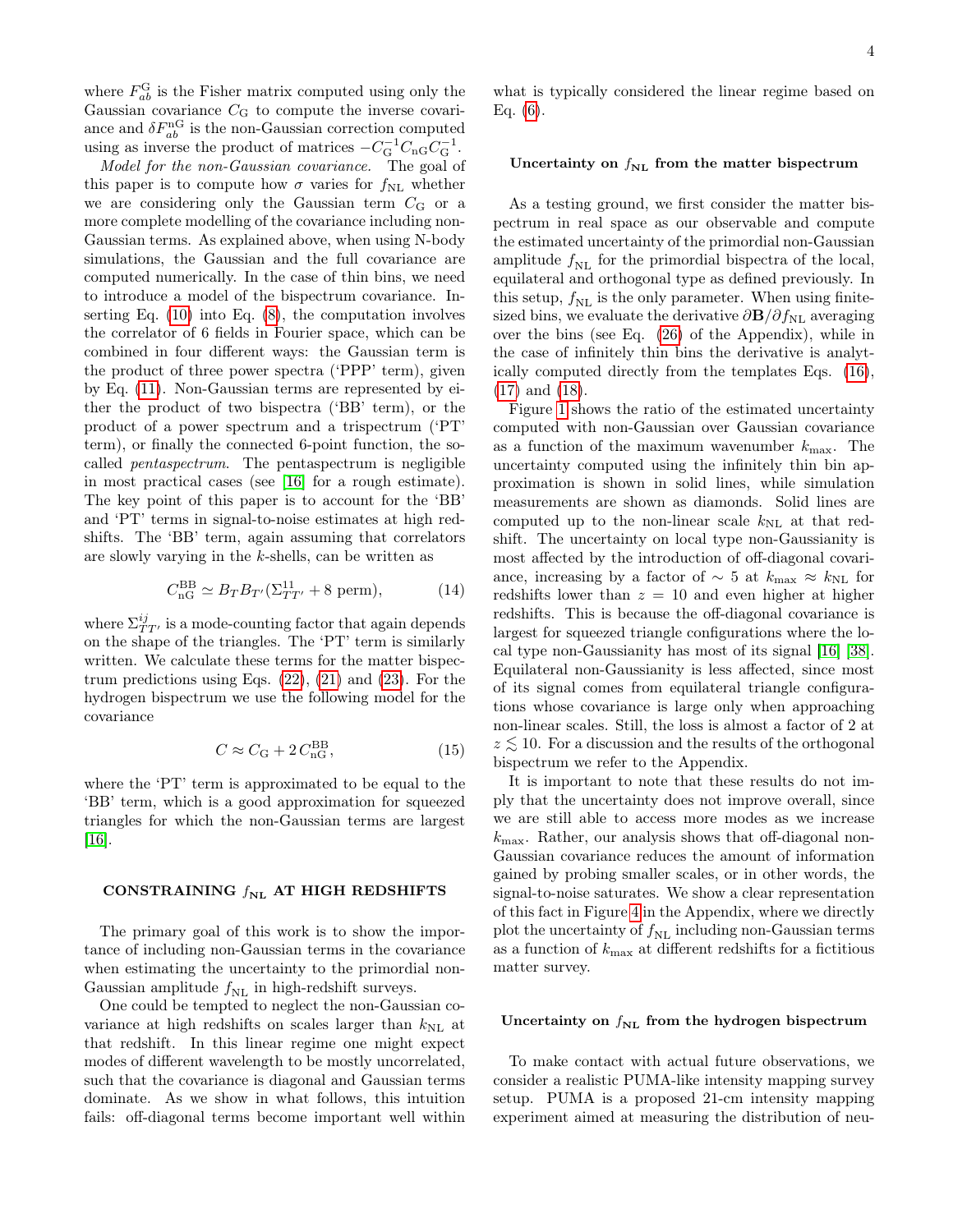where  $F_{ab}^{\text{G}}$  is the Fisher matrix computed using only the Gaussian covariance  $C_{\rm G}$  to compute the inverse covariance and  $\delta F_{ab}^{\text{nG}}$  is the non-Gaussian correction computed using as inverse the product of matrices  $-C_{\text{G}}^{-1}C_{\text{nG}}C_{\text{G}}^{-1}$ .

Model for the non-Gaussian covariance. The goal of this paper is to compute how  $\sigma$  varies for  $f_{NL}$  whether we are considering only the Gaussian term  $C_G$  or a more complete modelling of the covariance including non-Gaussian terms. As explained above, when using N-body simulations, the Gaussian and the full covariance are computed numerically. In the case of thin bins, we need to introduce a model of the bispectrum covariance. Inserting Eq.  $(10)$  into Eq.  $(8)$ , the computation involves the correlator of 6 fields in Fourier space, which can be combined in four different ways: the Gaussian term is the product of three power spectra ('PPP' term), given by Eq. [\(11\)](#page-2-3). Non-Gaussian terms are represented by either the product of two bispectra ('BB' term), or the product of a power spectrum and a trispectrum ('PT' term), or finally the connected 6-point function, the socalled pentaspectrum. The pentaspectrum is negligible in most practical cases (see [\[16\]](#page-10-17) for a rough estimate). The key point of this paper is to account for the 'BB' and 'PT' terms in signal-to-noise estimates at high redshifts. The 'BB' term, again assuming that correlators are slowly varying in the  $k$ -shells, can be written as

$$
C_{\mathrm{nG}}^{\mathrm{BB}} \simeq B_T B_{T'} (\Sigma_{TT'}^{11} + 8 \text{ perm}), \tag{14}
$$

where  $\Sigma^{ij}_{TT'}$  is a mode-counting factor that again depends on the shape of the triangles. The 'PT' term is similarly written. We calculate these terms for the matter bispectrum predictions using Eqs.  $(22)$ ,  $(21)$  and  $(23)$ . For the hydrogen bispectrum we use the following model for the covariance

<span id="page-3-0"></span>
$$
C \approx C_{\rm G} + 2 C_{\rm nG}^{\rm BB},\tag{15}
$$

where the 'PT' term is approximated to be equal to the 'BB' term, which is a good approximation for squeezed triangles for which the non-Gaussian terms are largest  $|16|$ .

# CONSTRAINING  $f_{NL}$  AT HIGH REDSHIFTS

The primary goal of this work is to show the importance of including non-Gaussian terms in the covariance when estimating the uncertainty to the primordial non-Gaussian amplitude  $f_{NL}$  in high-redshift surveys.

One could be tempted to neglect the non-Gaussian covariance at high redshifts on scales larger than  $k_{\text{NL}}$  at that redshift. In this linear regime one might expect modes of different wavelength to be mostly uncorrelated, such that the covariance is diagonal and Gaussian terms dominate. As we show in what follows, this intuition fails: off-diagonal terms become important well within what is typically considered the linear regime based on Eq.  $(6)$ .

# Uncertainty on  $f_{NL}$  from the matter bispectrum

As a testing ground, we first consider the matter bispectrum in real space as our observable and compute the estimated uncertainty of the primordial non-Gaussian amplitude  $f_{\text{NL}}$  for the primordial bispectra of the local, equilateral and orthogonal type as defined previously. In this setup,  $f_{\text{NL}}$  is the only parameter. When using finitesized bins, we evaluate the derivative  $\partial \mathbf{B}/\partial f_{\text{NL}}$  averaging over the bins (see Eq. [\(26\)](#page-7-2) of the Appendix), while in the case of infinitely thin bins the derivative is analytically computed directly from the templates Eqs. [\(16\)](#page-6-0), [\(17\)](#page-6-0) and [\(18\)](#page-6-0).

Figure [1](#page-4-0) shows the ratio of the estimated uncertainty computed with non-Gaussian over Gaussian covariance as a function of the maximum wavenumber  $k_{\text{max}}$ . The uncertainty computed using the infinitely thin bin approximation is shown in solid lines, while simulation measurements are shown as diamonds. Solid lines are computed up to the non-linear scale  $k_{\text{NL}}$  at that redshift. The uncertainty on local type non-Gaussianity is most affected by the introduction of off-diagonal covariance, increasing by a factor of  $\sim 5$  at  $k_{\text{max}} \approx k_{\text{NL}}$  for redshifts lower than  $z = 10$  and even higher at higher redshifts. This is because the off-diagonal covariance is largest for squeezed triangle configurations where the local type non-Gaussianity has most of its signal [\[16\]](#page-10-17) [\[38\]](#page-10-18). Equilateral non-Gaussianity is less affected, since most of its signal comes from equilateral triangle configurations whose covariance is large only when approaching non-linear scales. Still, the loss is almost a factor of 2 at  $z \lesssim 10$ . For a discussion and the results of the orthogonal bispectrum we refer to the Appendix.

It is important to note that these results do not imply that the uncertainty does not improve overall, since we are still able to access more modes as we increase  $k_{\text{max}}$ . Rather, our analysis shows that off-diagonal non-Gaussian covariance reduces the amount of information gained by probing smaller scales, or in other words, the signal-to-noise saturates. We show a clear representation of this fact in Figure [4](#page-8-0) in the Appendix, where we directly plot the uncertainty of  $f_{\text{NL}}$  including non-Gaussian terms as a function of  $k_{\text{max}}$  at different redshifts for a fictitious matter survey.

# Uncertainty on  $f_{NL}$  from the hydrogen bispectrum

To make contact with actual future observations, we consider a realistic PUMA-like intensity mapping survey setup. PUMA is a proposed 21-cm intensity mapping experiment aimed at measuring the distribution of neu-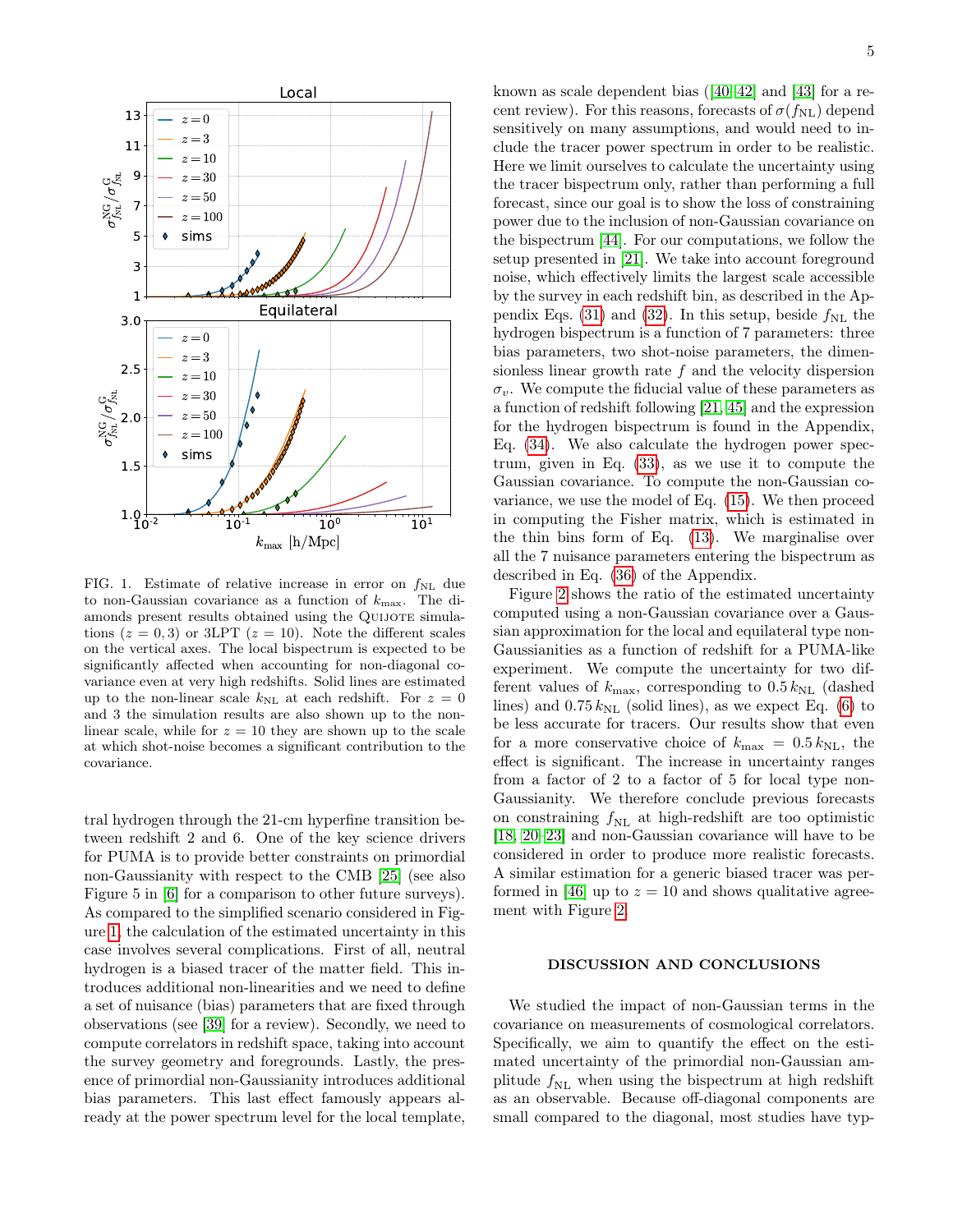

<span id="page-4-0"></span>FIG. 1. Estimate of relative increase in error on  $f_{NL}$  due to non-Gaussian covariance as a function of  $k_{\text{max}}$ . The diamonds present results obtained using the QUIJOTE simulations  $(z = 0, 3)$  or 3LPT  $(z = 10)$ . Note the different scales on the vertical axes. The local bispectrum is expected to be significantly affected when accounting for non-diagonal covariance even at very high redshifts. Solid lines are estimated up to the non-linear scale  $k_{\text{NL}}$  at each redshift. For  $z = 0$ and 3 the simulation results are also shown up to the nonlinear scale, while for  $z = 10$  they are shown up to the scale at which shot-noise becomes a significant contribution to the covariance.

tral hydrogen through the 21-cm hyperfine transition between redshift 2 and 6. One of the key science drivers for PUMA is to provide better constraints on primordial non-Gaussianity with respect to the CMB [\[25\]](#page-10-4) (see also Figure 5 in [\[6\]](#page-9-5) for a comparison to other future surveys). As compared to the simplified scenario considered in Figure [1,](#page-4-0) the calculation of the estimated uncertainty in this case involves several complications. First of all, neutral hydrogen is a biased tracer of the matter field. This introduces additional non-linearities and we need to define a set of nuisance (bias) parameters that are fixed through observations (see [\[39\]](#page-10-19) for a review). Secondly, we need to compute correlators in redshift space, taking into account the survey geometry and foregrounds. Lastly, the presence of primordial non-Gaussianity introduces additional bias parameters. This last effect famously appears already at the power spectrum level for the local template, known as scale dependent bias ([\[40–](#page-10-20)[42\]](#page-10-21) and [\[43\]](#page-10-22) for a recent review). For this reasons, forecasts of  $\sigma(f_{NL})$  depend sensitively on many assumptions, and would need to include the tracer power spectrum in order to be realistic. Here we limit ourselves to calculate the uncertainty using the tracer bispectrum only, rather than performing a full forecast, since our goal is to show the loss of constraining power due to the inclusion of non-Gaussian covariance on the bispectrum [\[44\]](#page-10-23). For our computations, we follow the setup presented in [\[21\]](#page-10-3). We take into account foreground noise, which effectively limits the largest scale accessible by the survey in each redshift bin, as described in the Ap-pendix Eqs. [\(31\)](#page-8-1) and [\(32\)](#page-8-2). In this setup, beside  $f_{\rm NL}$  the hydrogen bispectrum is a function of 7 parameters: three bias parameters, two shot-noise parameters, the dimensionless linear growth rate f and the velocity dispersion  $\sigma_v$ . We compute the fiducial value of these parameters as a function of redshift following [\[21,](#page-10-3) [45\]](#page-10-24) and the expression for the hydrogen bispectrum is found in the Appendix, Eq. [\(34\)](#page-9-8). We also calculate the hydrogen power spectrum, given in Eq. [\(33\)](#page-9-9), as we use it to compute the Gaussian covariance. To compute the non-Gaussian covariance, we use the model of Eq. [\(15\)](#page-3-0). We then proceed in computing the Fisher matrix, which is estimated in the thin bins form of Eq. [\(13\)](#page-2-5). We marginalise over all the 7 nuisance parameters entering the bispectrum as described in Eq. [\(36\)](#page-9-10) of the Appendix.

Figure [2](#page-5-0) shows the ratio of the estimated uncertainty computed using a non-Gaussian covariance over a Gaussian approximation for the local and equilateral type non-Gaussianities as a function of redshift for a PUMA-like experiment. We compute the uncertainty for two different values of  $k_{\text{max}}$ , corresponding to  $0.5 k_{\text{NL}}$  (dashed lines) and  $0.75 k_{\text{NL}}$  (solid lines), as we expect Eq. [\(6\)](#page-2-4) to be less accurate for tracers. Our results show that even for a more conservative choice of  $k_{\text{max}} = 0.5 k_{\text{NL}}$ , the effect is significant. The increase in uncertainty ranges from a factor of 2 to a factor of 5 for local type non-Gaussianity. We therefore conclude previous forecasts on constraining  $f_{\rm NL}$  at high-redshift are too optimistic [\[18,](#page-10-1) [20–](#page-10-25)[23\]](#page-10-26) and non-Gaussian covariance will have to be considered in order to produce more realistic forecasts. A similar estimation for a generic biased tracer was per-formed in [\[46\]](#page-10-27) up to  $z = 10$  and shows qualitative agreement with Figure [2.](#page-5-0)

# DISCUSSION AND CONCLUSIONS

We studied the impact of non-Gaussian terms in the covariance on measurements of cosmological correlators. Specifically, we aim to quantify the effect on the estimated uncertainty of the primordial non-Gaussian amplitude  $f_{\text{NL}}$  when using the bispectrum at high redshift as an observable. Because off-diagonal components are small compared to the diagonal, most studies have typ-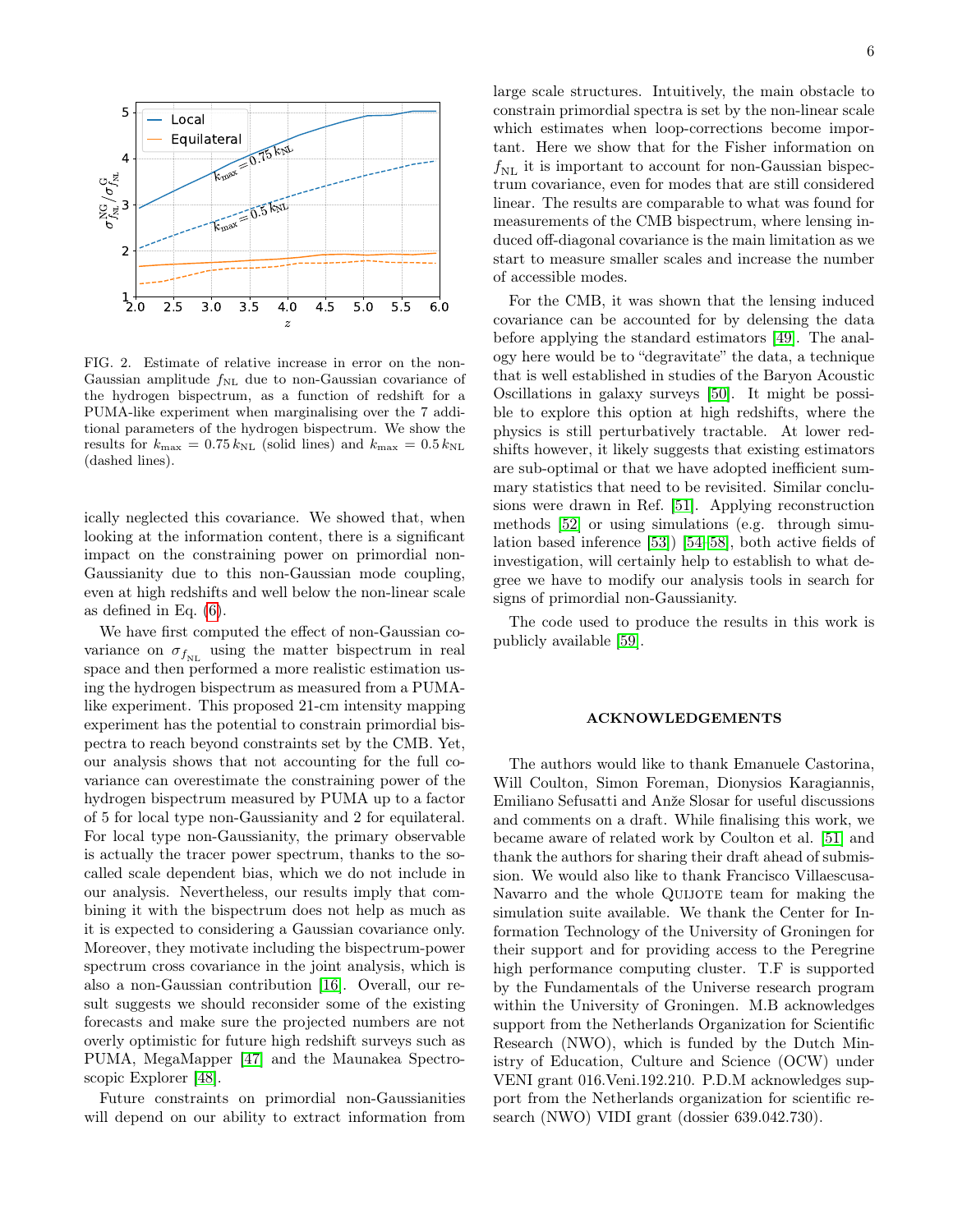

<span id="page-5-0"></span>FIG. 2. Estimate of relative increase in error on the non-Gaussian amplitude  $f_{\text{NL}}$  due to non-Gaussian covariance of the hydrogen bispectrum, as a function of redshift for a PUMA-like experiment when marginalising over the 7 additional parameters of the hydrogen bispectrum. We show the results for  $k_{\text{max}} = 0.75 k_{\text{NL}}$  (solid lines) and  $k_{\text{max}} = 0.5 k_{\text{NL}}$ (dashed lines).

ically neglected this covariance. We showed that, when looking at the information content, there is a significant impact on the constraining power on primordial non-Gaussianity due to this non-Gaussian mode coupling, even at high redshifts and well below the non-linear scale as defined in Eq. [\(6\)](#page-2-4).

We have first computed the effect of non-Gaussian covariance on  $\sigma_{f_{\rm NL}}$  using the matter bispectrum in real space and then performed a more realistic estimation using the hydrogen bispectrum as measured from a PUMAlike experiment. This proposed 21-cm intensity mapping experiment has the potential to constrain primordial bispectra to reach beyond constraints set by the CMB. Yet, our analysis shows that not accounting for the full covariance can overestimate the constraining power of the hydrogen bispectrum measured by PUMA up to a factor of 5 for local type non-Gaussianity and 2 for equilateral. For local type non-Gaussianity, the primary observable is actually the tracer power spectrum, thanks to the socalled scale dependent bias, which we do not include in our analysis. Nevertheless, our results imply that combining it with the bispectrum does not help as much as it is expected to considering a Gaussian covariance only. Moreover, they motivate including the bispectrum-power spectrum cross covariance in the joint analysis, which is also a non-Gaussian contribution [\[16\]](#page-10-17). Overall, our result suggests we should reconsider some of the existing forecasts and make sure the projected numbers are not overly optimistic for future high redshift surveys such as PUMA, MegaMapper [\[47\]](#page-10-28) and the Maunakea Spectroscopic Explorer [\[48\]](#page-10-29).

Future constraints on primordial non-Gaussianities will depend on our ability to extract information from large scale structures. Intuitively, the main obstacle to constrain primordial spectra is set by the non-linear scale which estimates when loop-corrections become important. Here we show that for the Fisher information on  $f_{\text{NL}}$  it is important to account for non-Gaussian bispectrum covariance, even for modes that are still considered linear. The results are comparable to what was found for measurements of the CMB bispectrum, where lensing induced off-diagonal covariance is the main limitation as we start to measure smaller scales and increase the number of accessible modes.

For the CMB, it was shown that the lensing induced covariance can be accounted for by delensing the data before applying the standard estimators [\[49\]](#page-10-30). The analogy here would be to "degravitate" the data, a technique that is well established in studies of the Baryon Acoustic Oscillations in galaxy surveys [\[50\]](#page-10-31). It might be possible to explore this option at high redshifts, where the physics is still perturbatively tractable. At lower redshifts however, it likely suggests that existing estimators are sub-optimal or that we have adopted inefficient summary statistics that need to be revisited. Similar conclusions were drawn in Ref. [\[51\]](#page-10-32). Applying reconstruction methods [\[52\]](#page-10-33) or using simulations (e.g. through simulation based inference [\[53\]](#page-10-34)) [\[54](#page-10-35)[–58\]](#page-10-36), both active fields of investigation, will certainly help to establish to what degree we have to modify our analysis tools in search for signs of primordial non-Gaussianity.

The code used to produce the results in this work is publicly available [\[59\]](#page-10-37).

# ACKNOWLEDGEMENTS

The authors would like to thank Emanuele Castorina, Will Coulton, Simon Foreman, Dionysios Karagiannis, Emiliano Sefusatti and Anže Slosar for useful discussions and comments on a draft. While finalising this work, we became aware of related work by Coulton et al. [\[51\]](#page-10-32) and thank the authors for sharing their draft ahead of submission. We would also like to thank Francisco Villaescusa-Navarro and the whole QUIJOTE team for making the simulation suite available. We thank the Center for Information Technology of the University of Groningen for their support and for providing access to the Peregrine high performance computing cluster. T.F is supported by the Fundamentals of the Universe research program within the University of Groningen. M.B acknowledges support from the Netherlands Organization for Scientific Research (NWO), which is funded by the Dutch Ministry of Education, Culture and Science (OCW) under VENI grant 016.Veni.192.210. P.D.M acknowledges support from the Netherlands organization for scientific research (NWO) VIDI grant (dossier 639.042.730).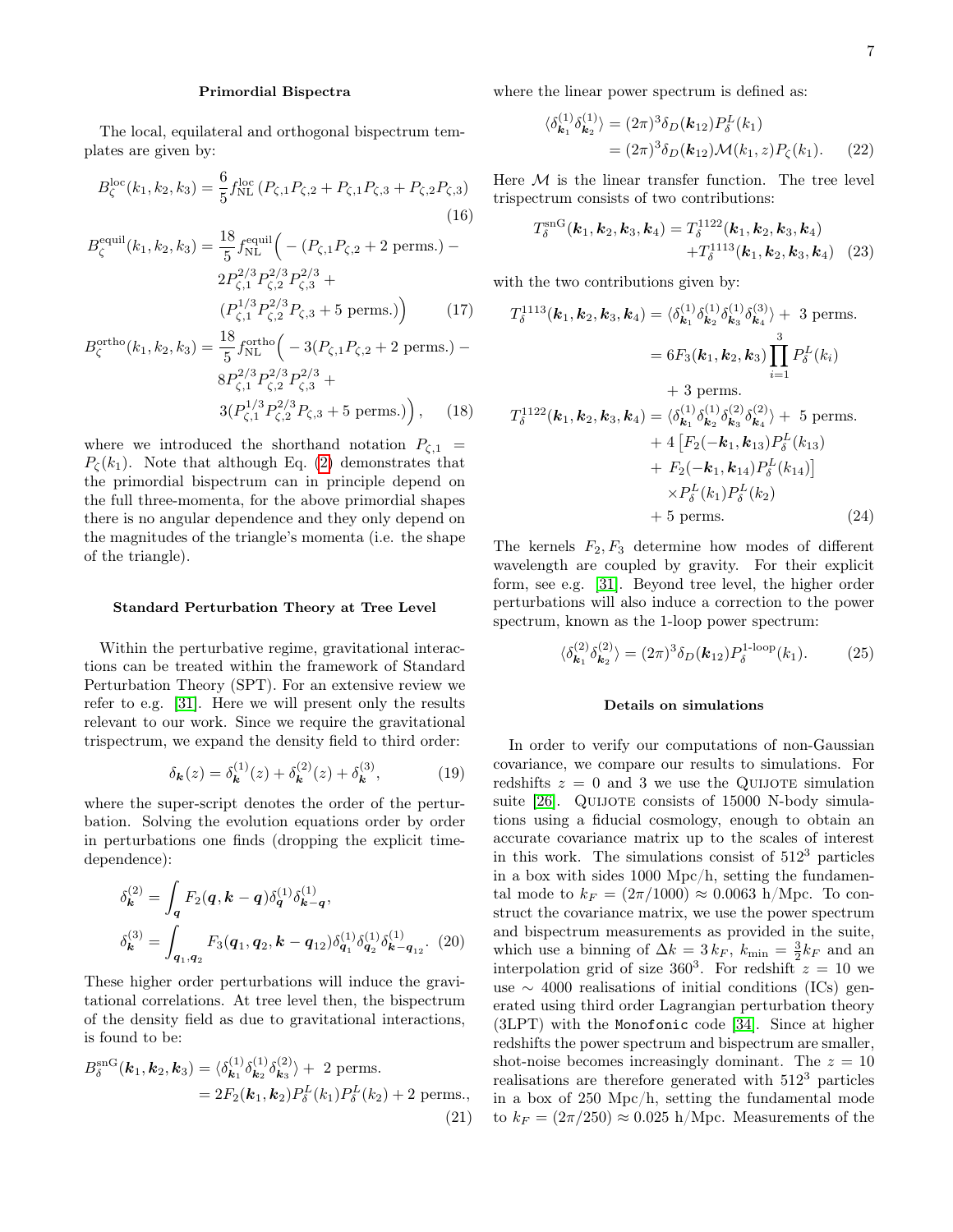### Primordial Bispectra

The local, equilateral and orthogonal bispectrum templates are given by:

<span id="page-6-0"></span>
$$
B_{\zeta}^{\text{loc}}(k_1, k_2, k_3) = \frac{6}{5} f_{\text{NL}}^{\text{loc}}(P_{\zeta,1} P_{\zeta,2} + P_{\zeta,1} P_{\zeta,3} + P_{\zeta,2} P_{\zeta,3})
$$
(16)

$$
B_{\zeta}^{\text{equil}}(k_1, k_2, k_3) = \frac{18}{5} f_{\text{NL}}^{\text{equil}} \left( -(P_{\zeta,1} P_{\zeta,2} + 2 \text{ perms.}) - 2P_{\zeta,1}^{2/3} P_{\zeta,2}^{2/3} P_{\zeta,3}^{2/3} + (P_{\zeta,1}^{1/3} P_{\zeta,2}^{2/3} P_{\zeta,3} + 5 \text{ perms.}) \right)
$$
 (17)

$$
B_{\zeta}^{\text{ortho}}(k_1, k_2, k_3) = \frac{18}{5} f_{\text{NL}}^{\text{ortho}} \left( -3(P_{\zeta,1} P_{\zeta,2} + 2 \text{ perms.}) - 8P_{\zeta,1}^{2/3} P_{\zeta,2}^{2/3} P_{\zeta,3}^{2/3} + 3(P_{\zeta,1}^{1/3} P_{\zeta,2}^{2/3} P_{\zeta,3} + 5 \text{ perms.}) \right), \quad (18)
$$

where we introduced the shorthand notation  $P_{\zeta,1}$  =  $P_{\zeta}(k_1)$ . Note that although Eq. [\(2\)](#page-1-0) demonstrates that the primordial bispectrum can in principle depend on the full three-momenta, for the above primordial shapes there is no angular dependence and they only depend on the magnitudes of the triangle's momenta (i.e. the shape of the triangle).

### Standard Perturbation Theory at Tree Level

Within the perturbative regime, gravitational interactions can be treated within the framework of Standard Perturbation Theory (SPT). For an extensive review we refer to e.g. [\[31\]](#page-10-10). Here we will present only the results relevant to our work. Since we require the gravitational trispectrum, we expand the density field to third order:

$$
\delta_{\mathbf{k}}(z) = \delta_{\mathbf{k}}^{(1)}(z) + \delta_{\mathbf{k}}^{(2)}(z) + \delta_{\mathbf{k}}^{(3)},\tag{19}
$$

where the super-script denotes the order of the perturbation. Solving the evolution equations order by order in perturbations one finds (dropping the explicit timedependence):

$$
\delta_{\mathbf{k}}^{(2)} = \int_{\mathbf{q}} F_2(\mathbf{q}, \mathbf{k} - \mathbf{q}) \delta_{\mathbf{q}}^{(1)} \delta_{\mathbf{k} - \mathbf{q}}^{(1)},
$$
  

$$
\delta_{\mathbf{k}}^{(3)} = \int_{\mathbf{q}_1, \mathbf{q}_2} F_3(\mathbf{q}_1, \mathbf{q}_2, \mathbf{k} - \mathbf{q}_{12}) \delta_{\mathbf{q}_1}^{(1)} \delta_{\mathbf{q}_2}^{(1)} \delta_{\mathbf{k} - \mathbf{q}_{12}}^{(1)}.
$$
 (20)

These higher order perturbations will induce the gravitational correlations. At tree level then, the bispectrum of the density field as due to gravitational interactions, is found to be:

<span id="page-6-2"></span>
$$
B_{\delta}^{\text{snG}}(\boldsymbol{k}_{1}, \boldsymbol{k}_{2}, \boldsymbol{k}_{3}) = \langle \delta_{\boldsymbol{k}_{1}}^{(1)} \delta_{\boldsymbol{k}_{2}}^{(1)} \delta_{\boldsymbol{k}_{3}}^{(2)} \rangle + 2 \text{ perms.}
$$
  
=  $2F_{2}(\boldsymbol{k}_{1}, \boldsymbol{k}_{2}) P_{\delta}^{L}(k_{1}) P_{\delta}^{L}(k_{2}) + 2 \text{ perms.},$  (21)

where the linear power spectrum is defined as:

<span id="page-6-1"></span>
$$
\langle \delta_{\mathbf{k}_1}^{(1)} \delta_{\mathbf{k}_2}^{(1)} \rangle = (2\pi)^3 \delta_D(\mathbf{k}_{12}) P_\delta^L(k_1)
$$
  
= 
$$
(2\pi)^3 \delta_D(\mathbf{k}_{12}) \mathcal{M}(k_1, z) P_\zeta(k_1).
$$
 (22)

Here  $M$  is the linear transfer function. The tree level trispectrum consists of two contributions:

<span id="page-6-3"></span>
$$
T_{\delta}^{\text{snG}}(\boldsymbol{k}_1, \boldsymbol{k}_2, \boldsymbol{k}_3, \boldsymbol{k}_4) = T_{\delta}^{1122}(\boldsymbol{k}_1, \boldsymbol{k}_2, \boldsymbol{k}_3, \boldsymbol{k}_4) + T_{\delta}^{1113}(\boldsymbol{k}_1, \boldsymbol{k}_2, \boldsymbol{k}_3, \boldsymbol{k}_4) \quad (23)
$$

with the two contributions given by:

$$
T_{\delta}^{1113}(\mathbf{k}_1, \mathbf{k}_2, \mathbf{k}_3, \mathbf{k}_4) = \langle \delta_{\mathbf{k}_1}^{(1)} \delta_{\mathbf{k}_2}^{(1)} \delta_{\mathbf{k}_3}^{(3)} \rangle + 3 \text{ perms.}
$$
  
\n
$$
= 6F_3(\mathbf{k}_1, \mathbf{k}_2, \mathbf{k}_3) \prod_{i=1}^3 P_{\delta}^L(k_i)
$$
  
\n
$$
+ 3 \text{ perms.}
$$
  
\n
$$
T_{\delta}^{1122}(\mathbf{k}_1, \mathbf{k}_2, \mathbf{k}_3, \mathbf{k}_4) = \langle \delta_{\mathbf{k}_1}^{(1)} \delta_{\mathbf{k}_2}^{(1)} \delta_{\mathbf{k}_3}^{(2)} \delta_{\mathbf{k}_4}^{(2)} \rangle + 5 \text{ perms.}
$$
  
\n
$$
+ 4 \left[ F_2(-\mathbf{k}_1, \mathbf{k}_{13}) P_{\delta}^L(k_{13}) + F_2(-\mathbf{k}_1, \mathbf{k}_{14}) P_{\delta}^L(k_{14}) \right]
$$
  
\n
$$
\times P_{\delta}^L(k_1) P_{\delta}^L(k_2)
$$
  
\n
$$
+ 5 \text{ perms.}
$$
 (24)

The kernels  $F_2, F_3$  determine how modes of different wavelength are coupled by gravity. For their explicit form, see e.g. [\[31\]](#page-10-10). Beyond tree level, the higher order perturbations will also induce a correction to the power spectrum, known as the 1-loop power spectrum:

$$
\langle \delta_{\mathbf{k}_1}^{(2)} \delta_{\mathbf{k}_2}^{(2)} \rangle = (2\pi)^3 \delta_D(\mathbf{k}_{12}) P_{\delta}^{\text{1-loop}}(k_1). \tag{25}
$$

### Details on simulations

In order to verify our computations of non-Gaussian covariance, we compare our results to simulations. For redshifts  $z = 0$  and 3 we use the QUIJOTE simulation suite [\[26\]](#page-10-5). QUIJOTE consists of 15000 N-body simulations using a fiducial cosmology, enough to obtain an accurate covariance matrix up to the scales of interest in this work. The simulations consist of  $512<sup>3</sup>$  particles in a box with sides 1000 Mpc/h, setting the fundamental mode to  $k_F = (2\pi/1000) \approx 0.0063$  h/Mpc. To construct the covariance matrix, we use the power spectrum and bispectrum measurements as provided in the suite, which use a binning of  $\Delta k = 3 k_F$ ,  $k_{\text{min}} = \frac{3}{2} k_F$  and an interpolation grid of size  $360^3$ . For redshift  $z = 10$  we use ∼ 4000 realisations of initial conditions (ICs) generated using third order Lagrangian perturbation theory (3LPT) with the Monofonic code [\[34\]](#page-10-13). Since at higher redshifts the power spectrum and bispectrum are smaller, shot-noise becomes increasingly dominant. The  $z = 10$ realisations are therefore generated with 512<sup>3</sup> particles in a box of 250 Mpc/h, setting the fundamental mode to  $k_F = (2\pi/250) \approx 0.025$  h/Mpc. Measurements of the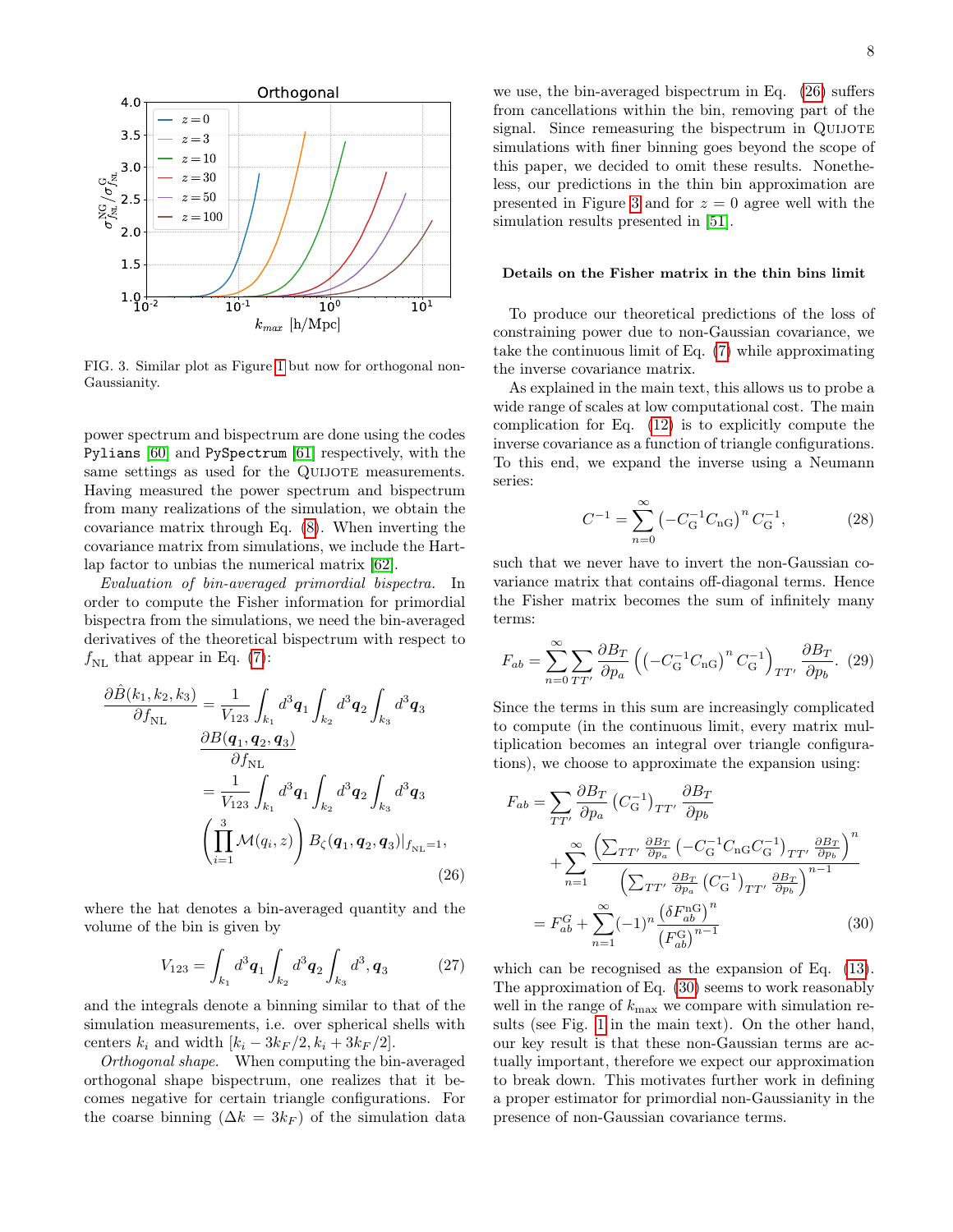

<span id="page-7-3"></span>FIG. 3. Similar plot as Figure [1](#page-4-0) but now for orthogonal non-Gaussianity.

power spectrum and bispectrum are done using the codes Pylians [\[60\]](#page-10-38) and PySpectrum [\[61\]](#page-10-39) respectively, with the same settings as used for the QUIJOTE measurements. Having measured the power spectrum and bispectrum from many realizations of the simulation, we obtain the covariance matrix through Eq. [\(8\)](#page-2-0). When inverting the covariance matrix from simulations, we include the Hartlap factor to unbias the numerical matrix [\[62\]](#page-10-40).

Evaluation of bin-averaged primordial bispectra. In order to compute the Fisher information for primordial bispectra from the simulations, we need the bin-averaged derivatives of the theoretical bispectrum with respect to  $f_{\text{NL}}$  that appear in Eq. [\(7\)](#page-2-6):

$$
\frac{\partial \hat{B}(k_1, k_2, k_3)}{\partial f_{\text{NL}}} = \frac{1}{V_{123}} \int_{k_1} d^3 \mathbf{q}_1 \int_{k_2} d^3 \mathbf{q}_2 \int_{k_3} d^3 \mathbf{q}_3
$$

$$
\frac{\partial B(\mathbf{q}_1, \mathbf{q}_2, \mathbf{q}_3)}{\partial f_{\text{NL}}}
$$

$$
= \frac{1}{V_{123}} \int_{k_1} d^3 \mathbf{q}_1 \int_{k_2} d^3 \mathbf{q}_2 \int_{k_3} d^3 \mathbf{q}_3
$$

$$
\left(\prod_{i=1}^3 \mathcal{M}(q_i, z)\right) B_{\zeta}(\mathbf{q}_1, \mathbf{q}_2, \mathbf{q}_3)|_{f_{\text{NL}}=1},
$$
(26)

where the hat denotes a bin-averaged quantity and the volume of the bin is given by

$$
V_{123} = \int_{k_1} d^3 \mathbf{q}_1 \int_{k_2} d^3 \mathbf{q}_2 \int_{k_3} d^3, \mathbf{q}_3 \qquad (27)
$$

and the integrals denote a binning similar to that of the simulation measurements, i.e. over spherical shells with centers  $k_i$  and width  $[k_i - 3k_F/2, k_i + 3k_F/2]$ .

Orthogonal shape. When computing the bin-averaged orthogonal shape bispectrum, one realizes that it becomes negative for certain triangle configurations. For the coarse binning  $(\Delta k = 3k_F)$  of the simulation data

we use, the bin-averaged bispectrum in Eq. [\(26\)](#page-7-2) suffers from cancellations within the bin, removing part of the signal. Since remeasuring the bispectrum in QUIJOTE simulations with finer binning goes beyond the scope of this paper, we decided to omit these results. Nonetheless, our predictions in the thin bin approximation are presented in Figure [3](#page-7-3) and for  $z = 0$  agree well with the simulation results presented in [\[51\]](#page-10-32).

# Details on the Fisher matrix in the thin bins limit

To produce our theoretical predictions of the loss of constraining power due to non-Gaussian covariance, we take the continuous limit of Eq. [\(7\)](#page-2-6) while approximating the inverse covariance matrix.

As explained in the main text, this allows us to probe a wide range of scales at low computational cost. The main complication for Eq. [\(12\)](#page-2-1) is to explicitly compute the inverse covariance as a function of triangle configurations. To this end, we expand the inverse using a Neumann series:

<span id="page-7-0"></span>
$$
C^{-1} = \sum_{n=0}^{\infty} \left( -C_{\mathcal{G}}^{-1} C_{\mathcal{G}} \right)^n C_{\mathcal{G}}^{-1},\tag{28}
$$

such that we never have to invert the non-Gaussian covariance matrix that contains off-diagonal terms. Hence the Fisher matrix becomes the sum of infinitely many terms:

$$
F_{ab} = \sum_{n=0}^{\infty} \sum_{TT'} \frac{\partial B_T}{\partial p_a} \left( \left( -C_{\mathcal{G}}^{-1} C_{\mathcal{G}} \right)^n C_{\mathcal{G}}^{-1} \right)_{TT'} \frac{\partial B_T}{\partial p_b}. (29)
$$

Since the terms in this sum are increasingly complicated to compute (in the continuous limit, every matrix multiplication becomes an integral over triangle configurations), we choose to approximate the expansion using:

<span id="page-7-2"></span><span id="page-7-1"></span>
$$
F_{ab} = \sum_{TT'} \frac{\partial B_T}{\partial p_a} \left( C_G^{-1} \right)_{TT'} \frac{\partial B_T}{\partial p_b}
$$
  
+ 
$$
\sum_{n=1}^{\infty} \frac{\left( \sum_{TT'} \frac{\partial B_T}{\partial p_a} \left( -C_G^{-1} C_{nG} C_G^{-1} \right)_{TT'} \frac{\partial B_T}{\partial p_b} \right)^n}{\left( \sum_{TT'} \frac{\partial B_T}{\partial p_a} \left( C_G^{-1} \right)_{TT'} \frac{\partial B_T}{\partial p_b} \right)^{n-1}}
$$
  
= 
$$
F_{ab}^G + \sum_{n=1}^{\infty} (-1)^n \frac{\left( \delta F_{ab}^{\text{nG}} \right)^n}{\left( F_{ab}^{\text{G}} \right)^{n-1}}
$$
(30)

which can be recognised as the expansion of Eq. [\(13\)](#page-2-5). The approximation of Eq. [\(30\)](#page-7-1) seems to work reasonably well in the range of  $k_{\text{max}}$  we compare with simulation results (see Fig. [1](#page-4-0) in the main text). On the other hand, our key result is that these non-Gaussian terms are actually important, therefore we expect our approximation to break down. This motivates further work in defining a proper estimator for primordial non-Gaussianity in the presence of non-Gaussian covariance terms.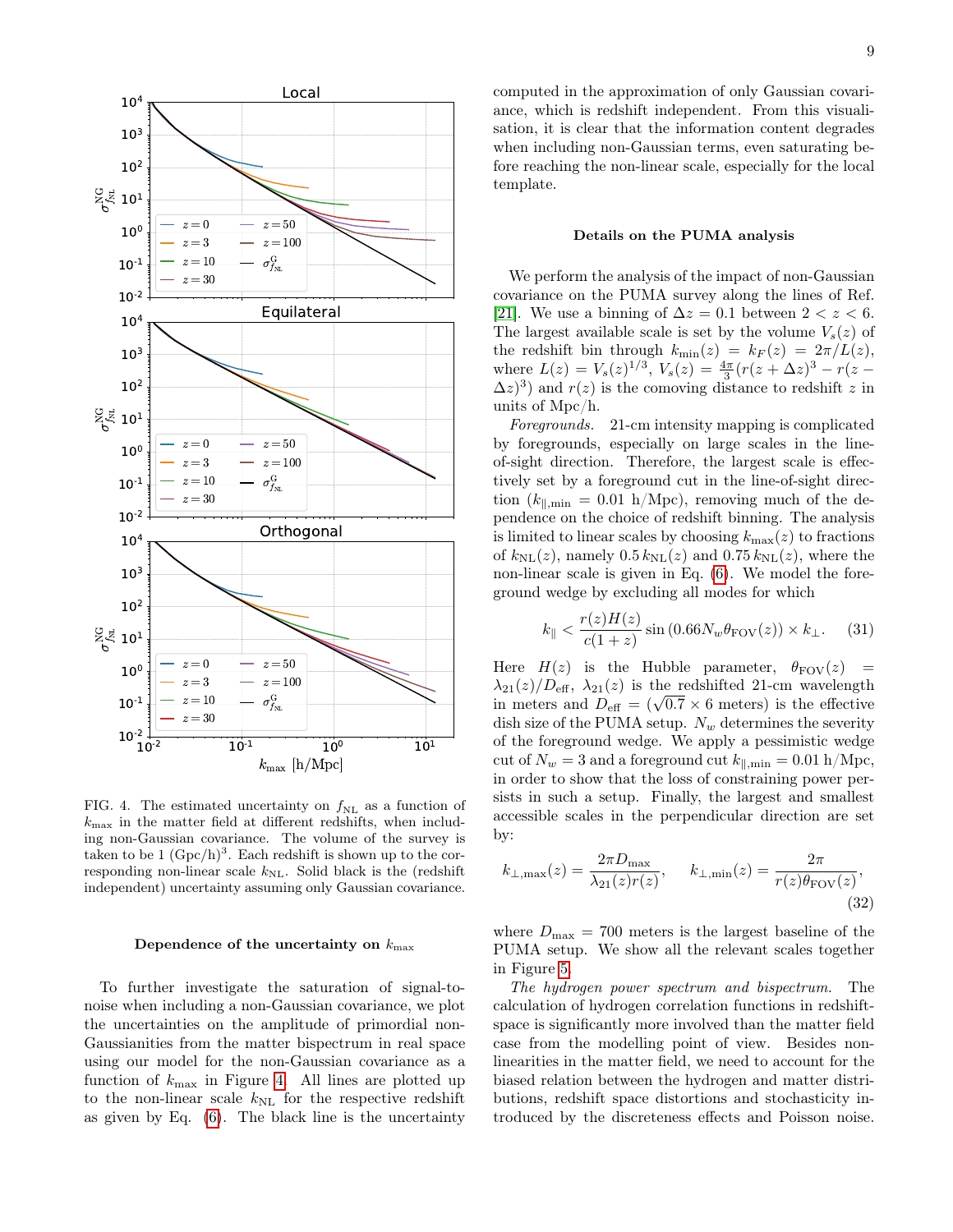

<span id="page-8-0"></span>FIG. 4. The estimated uncertainty on  $f_{\text{NL}}$  as a function of  $k_{\text{max}}$  in the matter field at different redshifts, when including non-Gaussian covariance. The volume of the survey is taken to be  $1 \ (\text{Gpc/h})^3$ . Each redshift is shown up to the corresponding non-linear scale  $k_{\text{NL}}$ . Solid black is the (redshift independent) uncertainty assuming only Gaussian covariance.

### Dependence of the uncertainty on  $k_{\text{max}}$

To further investigate the saturation of signal-tonoise when including a non-Gaussian covariance, we plot the uncertainties on the amplitude of primordial non-Gaussianities from the matter bispectrum in real space using our model for the non-Gaussian covariance as a function of  $k_{\text{max}}$  in Figure [4.](#page-8-0) All lines are plotted up to the non-linear scale  $k_{\text{NL}}$  for the respective redshift as given by Eq.  $(6)$ . The black line is the uncertainty

computed in the approximation of only Gaussian covariance, which is redshift independent. From this visualisation, it is clear that the information content degrades when including non-Gaussian terms, even saturating before reaching the non-linear scale, especially for the local template.

### Details on the PUMA analysis

We perform the analysis of the impact of non-Gaussian covariance on the PUMA survey along the lines of Ref. [\[21\]](#page-10-3). We use a binning of  $\Delta z = 0.1$  between  $2 < z < 6$ . The largest available scale is set by the volume  $V_s(z)$  of the redshift bin through  $k_{\min}(z) = k_F(z) = 2\pi/L(z)$ , where  $L(z) = V_s(z)^{1/3}$ ,  $V_s(z) = \frac{4\pi}{3} (r(z + \Delta z)^3 - r(z (\Delta z)^3$  and  $r(z)$  is the comoving distance to redshift z in units of Mpc/h.

Foregrounds. 21-cm intensity mapping is complicated by foregrounds, especially on large scales in the lineof-sight direction. Therefore, the largest scale is effectively set by a foreground cut in the line-of-sight direction  $(k_{\parallel, \text{min}} = 0.01 \text{ h/Mpc}$ , removing much of the dependence on the choice of redshift binning. The analysis is limited to linear scales by choosing  $k_{\text{max}}(z)$  to fractions of  $k_{\text{NL}}(z)$ , namely  $0.5 k_{\text{NL}}(z)$  and  $0.75 k_{\text{NL}}(z)$ , where the non-linear scale is given in Eq. [\(6\)](#page-2-4). We model the foreground wedge by excluding all modes for which

<span id="page-8-1"></span>
$$
k_{\parallel} < \frac{r(z)H(z)}{c(1+z)} \sin\left(0.66N_w\theta_{\text{FOV}}(z)\right) \times k_{\perp}.\tag{31}
$$

Here  $H(z)$  is the Hubble parameter,  $\theta_{\text{FOV}}(z)$  =  $\lambda_{21}(z)/D_{\text{eff}}$ ,  $\lambda_{21}(z)$  is the redshifted 21-cm wavelength  $\lambda_{21}(z)/D_{\text{eff}}$ ,  $\lambda_{21}(z)$  is the redshifted 21-cm wavelength<br>in meters and  $D_{\text{eff}} = (\sqrt{0.7} \times 6 \text{ meters})$  is the effective dish size of the PUMA setup.  $N_w$  determines the severity of the foreground wedge. We apply a pessimistic wedge cut of  $N_w = 3$  and a foreground cut  $k_{\parallel, \text{min}} = 0.01 \text{ h/Mpc}$ , in order to show that the loss of constraining power persists in such a setup. Finally, the largest and smallest accessible scales in the perpendicular direction are set by:

<span id="page-8-2"></span>
$$
k_{\perp,\max}(z) = \frac{2\pi D_{\max}}{\lambda_{21}(z)r(z)}, \qquad k_{\perp,\min}(z) = \frac{2\pi}{r(z)\theta_{\text{FOV}}(z)},\tag{32}
$$

where  $D_{\text{max}} = 700$  meters is the largest baseline of the PUMA setup. We show all the relevant scales together in Figure [5.](#page-9-11)

The hydrogen power spectrum and bispectrum. The calculation of hydrogen correlation functions in redshiftspace is significantly more involved than the matter field case from the modelling point of view. Besides nonlinearities in the matter field, we need to account for the biased relation between the hydrogen and matter distributions, redshift space distortions and stochasticity introduced by the discreteness effects and Poisson noise.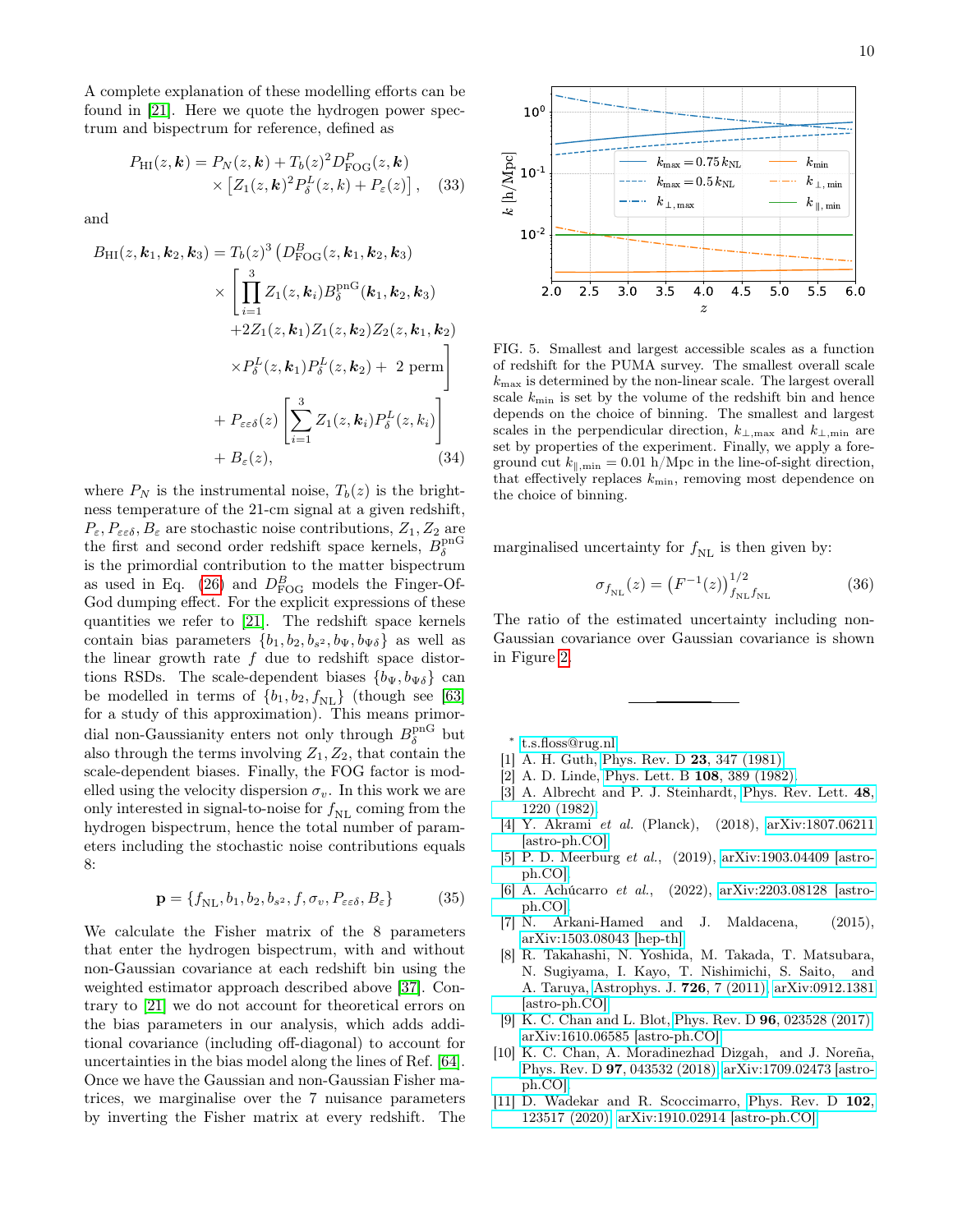A complete explanation of these modelling efforts can be found in [\[21\]](#page-10-3). Here we quote the hydrogen power spectrum and bispectrum for reference, defined as

<span id="page-9-9"></span>
$$
P_{\rm HI}(z, \mathbf{k}) = P_N(z, \mathbf{k}) + T_b(z)^2 D_{\rm FOG}^P(z, \mathbf{k}) \times \left[ Z_1(z, \mathbf{k})^2 P_{\delta}^L(z, k) + P_{\varepsilon}(z) \right],
$$
 (33)

and

<span id="page-9-8"></span>
$$
B_{\rm HI}(z, \boldsymbol{k}_1, \boldsymbol{k}_2, \boldsymbol{k}_3) = T_b(z)^3 \left( D_{\rm FOG}^B(z, \boldsymbol{k}_1, \boldsymbol{k}_2, \boldsymbol{k}_3) \times \left[ \prod_{i=1}^3 Z_1(z, \boldsymbol{k}_i) B_{\delta}^{\rm pnG}(\boldsymbol{k}_1, \boldsymbol{k}_2, \boldsymbol{k}_3) \right. \\ \left. + 2Z_1(z, \boldsymbol{k}_1) Z_1(z, \boldsymbol{k}_2) Z_2(z, \boldsymbol{k}_1, \boldsymbol{k}_2) \right. \\ \left. \times P_{\delta}^L(z, \boldsymbol{k}_1) P_{\delta}^L(z, \boldsymbol{k}_2) + 2 \text{ perm} \right] \\ \left. + P_{\varepsilon \varepsilon \delta}(z) \left[ \sum_{i=1}^3 Z_1(z, \boldsymbol{k}_i) P_{\delta}^L(z, \boldsymbol{k}_i) \right. \right. \\ \left. + B_{\varepsilon}(z), \right. \tag{34}
$$

where  $P_N$  is the instrumental noise,  $T_b(z)$  is the brightness temperature of the 21-cm signal at a given redshift,  $P_{\varepsilon}, P_{\varepsilon \varepsilon \delta}, B_{\varepsilon}$  are stochastic noise contributions,  $Z_1, Z_2$  are the first and second order redshift space kernels,  $B_{\delta}^{\rm pnG}$ is the primordial contribution to the matter bispectrum as used in Eq. [\(26\)](#page-7-2) and  $D_{\text{FOG}}^B$  models the Finger-Of-God dumping effect. For the explicit expressions of these quantities we refer to [\[21\]](#page-10-3). The redshift space kernels contain bias parameters  ${b_1, b_2, b_{s^2}, b_{\Psi}, b_{\Psi\delta}}$  as well as the linear growth rate  $f$  due to redshift space distortions RSDs. The scale-dependent biases  ${b_{\Psi}, b_{\Psi\delta}}$  can be modelled in terms of  $\{b_1, b_2, f_{NL}\}$  (though see [\[63\]](#page-10-41) for a study of this approximation). This means primordial non-Gaussianity enters not only through  $B_{\delta}^{\text{pnG}}$  but also through the terms involving  $Z_1, Z_2$ , that contain the scale-dependent biases. Finally, the FOG factor is modelled using the velocity dispersion  $\sigma_v$ . In this work we are only interested in signal-to-noise for  $f_{\text{NL}}$  coming from the hydrogen bispectrum, hence the total number of parameters including the stochastic noise contributions equals 8:

$$
\mathbf{p} = \{f_{\mathrm{NL}}, b_1, b_2, b_{s^2}, f, \sigma_v, P_{\varepsilon \varepsilon \delta}, B_{\varepsilon} \}
$$
(35)

We calculate the Fisher matrix of the 8 parameters that enter the hydrogen bispectrum, with and without non-Gaussian covariance at each redshift bin using the weighted estimator approach described above [\[37\]](#page-10-16). Contrary to [\[21\]](#page-10-3) we do not account for theoretical errors on the bias parameters in our analysis, which adds additional covariance (including off-diagonal) to account for uncertainties in the bias model along the lines of Ref. [\[64\]](#page-11-0). Once we have the Gaussian and non-Gaussian Fisher matrices, we marginalise over the 7 nuisance parameters by inverting the Fisher matrix at every redshift. The



<span id="page-9-11"></span>FIG. 5. Smallest and largest accessible scales as a function of redshift for the PUMA survey. The smallest overall scale  $k_{\text{max}}$  is determined by the non-linear scale. The largest overall scale  $k_{\text{min}}$  is set by the volume of the redshift bin and hence depends on the choice of binning. The smallest and largest scales in the perpendicular direction,  $k_{\perp,\text{max}}$  and  $k_{\perp,\text{min}}$  are set by properties of the experiment. Finally, we apply a foreground cut  $k_{\parallel,min} = 0.01$  h/Mpc in the line-of-sight direction, that effectively replaces  $k_{\min}$ , removing most dependence on the choice of binning.

marginalised uncertainty for  $f_{\text{NL}}$  is then given by:

<span id="page-9-10"></span>
$$
\sigma_{f_{\rm NL}}(z) = \left(F^{-1}(z)\right)_{f_{\rm NL} f_{\rm NL}}^{1/2} \tag{36}
$$

The ratio of the estimated uncertainty including non-Gaussian covariance over Gaussian covariance is shown in Figure [2.](#page-5-0)

- <span id="page-9-0"></span>∗ [t.s.floss@rug.nl](mailto:t.s.floss@rug.nl)
- <span id="page-9-1"></span>[1] A. H. Guth, [Phys. Rev. D](http://dx.doi.org/10.1103/PhysRevD.23.347) **23**, 347 (1981).
- [2] A. D. Linde, [Phys. Lett. B](http://dx.doi.org/10.1016/0370-2693(82)91219-9) 108, 389 (1982).
- <span id="page-9-2"></span>[3] A. Albrecht and P. J. Steinhardt, [Phys. Rev. Lett.](http://dx.doi.org/10.1103/PhysRevLett.48.1220) 48, [1220 \(1982\).](http://dx.doi.org/10.1103/PhysRevLett.48.1220)
- <span id="page-9-3"></span>[4] Y. Akrami et al. (Planck), (2018), [arXiv:1807.06211](http://arxiv.org/abs/1807.06211) [\[astro-ph.CO\].](http://arxiv.org/abs/1807.06211)
- <span id="page-9-4"></span>[5] P. D. Meerburg et al., (2019), [arXiv:1903.04409 \[astro](http://arxiv.org/abs/1903.04409)[ph.CO\].](http://arxiv.org/abs/1903.04409)
- <span id="page-9-5"></span>[6] A. Achúcarro et al., (2022), [arXiv:2203.08128 \[astro](http://arxiv.org/abs/2203.08128)[ph.CO\].](http://arxiv.org/abs/2203.08128)
- <span id="page-9-6"></span>[7] N. Arkani-Hamed and J. Maldacena, (2015), [arXiv:1503.08043 \[hep-th\].](http://arxiv.org/abs/1503.08043)
- <span id="page-9-7"></span>[8] R. Takahashi, N. Yoshida, M. Takada, T. Matsubara, N. Sugiyama, I. Kayo, T. Nishimichi, S. Saito, and A. Taruya, [Astrophys. J.](http://dx.doi.org/10.1088/0004-637X/726/1/7) 726, 7 (2011), [arXiv:0912.1381](http://arxiv.org/abs/0912.1381) [\[astro-ph.CO\].](http://arxiv.org/abs/0912.1381)
- [9] K. C. Chan and L. Blot, Phys. Rev. D **96**[, 023528 \(2017\),](http://dx.doi.org/10.1103/PhysRevD.96.023528) [arXiv:1610.06585 \[astro-ph.CO\].](http://arxiv.org/abs/1610.06585)
- [10] K. C. Chan, A. Moradinezhad Dizgah, and J. Noreña, Phys. Rev. D 97[, 043532 \(2018\),](http://dx.doi.org/10.1103/PhysRevD.97.043532) [arXiv:1709.02473 \[astro](http://arxiv.org/abs/1709.02473)[ph.CO\].](http://arxiv.org/abs/1709.02473)
- [11] D. Wadekar and R. Scoccimarro, [Phys. Rev. D](http://dx.doi.org/10.1103/PhysRevD.102.123517) 102, [123517 \(2020\),](http://dx.doi.org/10.1103/PhysRevD.102.123517) [arXiv:1910.02914 \[astro-ph.CO\].](http://arxiv.org/abs/1910.02914)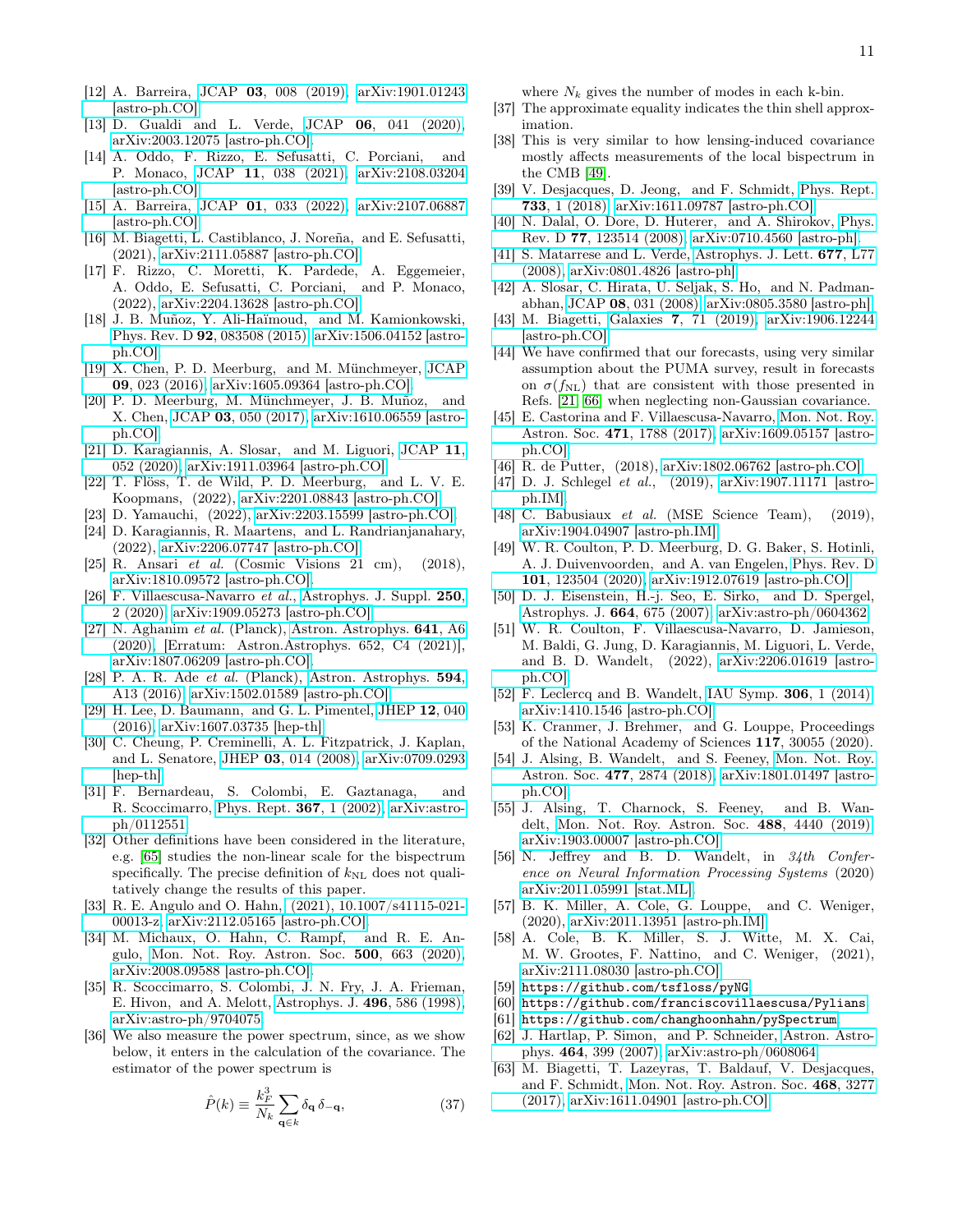- [12] A. Barreira, JCAP 03[, 008 \(2019\),](http://dx.doi.org/10.1088/1475-7516/2019/03/008) [arXiv:1901.01243](http://arxiv.org/abs/1901.01243) [\[astro-ph.CO\].](http://arxiv.org/abs/1901.01243)
- [13] D. Gualdi and L. Verde, JCAP 06[, 041 \(2020\),](http://dx.doi.org/10.1088/1475-7516/2020/06/041) [arXiv:2003.12075 \[astro-ph.CO\].](http://arxiv.org/abs/2003.12075)
- [14] A. Oddo, F. Rizzo, E. Sefusatti, C. Porciani, and P. Monaco, JCAP 11[, 038 \(2021\),](http://dx.doi.org/ 10.1088/1475-7516/2021/11/038) [arXiv:2108.03204](http://arxiv.org/abs/2108.03204) [\[astro-ph.CO\].](http://arxiv.org/abs/2108.03204)
- [15] A. Barreira, JCAP 01[, 033 \(2022\),](http://dx.doi.org/10.1088/1475-7516/2022/01/033) [arXiv:2107.06887](http://arxiv.org/abs/2107.06887) [\[astro-ph.CO\].](http://arxiv.org/abs/2107.06887)
- <span id="page-10-17"></span>[16] M. Biagetti, L. Castiblanco, J. Noreña, and E. Sefusatti, (2021), [arXiv:2111.05887 \[astro-ph.CO\].](http://arxiv.org/abs/2111.05887)
- <span id="page-10-0"></span>[17] F. Rizzo, C. Moretti, K. Pardede, A. Eggemeier, A. Oddo, E. Sefusatti, C. Porciani, and P. Monaco, (2022), [arXiv:2204.13628 \[astro-ph.CO\].](http://arxiv.org/abs/2204.13628)
- <span id="page-10-1"></span>[18] J. B. Muñoz, Y. Ali-Haïmoud, and M. Kamionkowski, Phys. Rev. D 92[, 083508 \(2015\),](http://dx.doi.org/ 10.1103/PhysRevD.92.083508) [arXiv:1506.04152 \[astro](http://arxiv.org/abs/1506.04152)[ph.CO\].](http://arxiv.org/abs/1506.04152)
- [19] X. Chen, P. D. Meerburg, and M. Münchmeyer, [JCAP](http://dx.doi.org/10.1088/1475-7516/2016/09/023) 09[, 023 \(2016\),](http://dx.doi.org/10.1088/1475-7516/2016/09/023) [arXiv:1605.09364 \[astro-ph.CO\].](http://arxiv.org/abs/1605.09364)
- <span id="page-10-25"></span>[20] P. D. Meerburg, M. Münchmeyer, J. B. Muñoz, and X. Chen, JCAP 03[, 050 \(2017\),](http://dx.doi.org/10.1088/1475-7516/2017/03/050) [arXiv:1610.06559 \[astro](http://arxiv.org/abs/1610.06559)[ph.CO\].](http://arxiv.org/abs/1610.06559)
- <span id="page-10-3"></span>[21] D. Karagiannis, A. Slosar, and M. Liguori, [JCAP](http://dx.doi.org/10.1088/1475-7516/2020/11/052) 11, [052 \(2020\),](http://dx.doi.org/10.1088/1475-7516/2020/11/052) [arXiv:1911.03964 \[astro-ph.CO\].](http://arxiv.org/abs/1911.03964)
- [22] T. Flöss, T. de Wild, P. D. Meerburg, and L. V. E. Koopmans, (2022), [arXiv:2201.08843 \[astro-ph.CO\].](http://arxiv.org/abs/2201.08843)
- <span id="page-10-26"></span>[23] D. Yamauchi, (2022), [arXiv:2203.15599 \[astro-ph.CO\].](http://arxiv.org/abs/2203.15599)
- <span id="page-10-2"></span>[24] D. Karagiannis, R. Maartens, and L. Randrianjanahary, (2022), [arXiv:2206.07747 \[astro-ph.CO\].](http://arxiv.org/abs/2206.07747)
- <span id="page-10-4"></span>[25] R. Ansari et al. (Cosmic Visions 21 cm), (2018), [arXiv:1810.09572 \[astro-ph.CO\].](http://arxiv.org/abs/1810.09572)
- <span id="page-10-5"></span>[26] F. Villaescusa-Navarro et al., [Astrophys. J. Suppl.](http://dx.doi.org/ 10.3847/1538-4365/ab9d82) 250, [2 \(2020\),](http://dx.doi.org/ 10.3847/1538-4365/ab9d82) [arXiv:1909.05273 \[astro-ph.CO\].](http://arxiv.org/abs/1909.05273)
- <span id="page-10-6"></span>[27] N. Aghanim et al. (Planck), [Astron. Astrophys.](http://dx.doi.org/10.1051/0004-6361/201833910) 641, A6 [\(2020\),](http://dx.doi.org/10.1051/0004-6361/201833910) [Erratum: Astron.Astrophys. 652, C4 (2021)], [arXiv:1807.06209 \[astro-ph.CO\].](http://arxiv.org/abs/1807.06209)
- <span id="page-10-7"></span>[28] P. A. R. Ade et al. (Planck), [Astron. Astrophys.](http://dx.doi.org/10.1051/0004-6361/201525830) 594, [A13 \(2016\),](http://dx.doi.org/10.1051/0004-6361/201525830) [arXiv:1502.01589 \[astro-ph.CO\].](http://arxiv.org/abs/1502.01589)
- <span id="page-10-8"></span>[29] H. Lee, D. Baumann, and G. L. Pimentel, [JHEP](http://dx.doi.org/10.1007/JHEP12(2016)040) 12, 040 [\(2016\),](http://dx.doi.org/10.1007/JHEP12(2016)040) [arXiv:1607.03735 \[hep-th\].](http://arxiv.org/abs/1607.03735)
- <span id="page-10-9"></span>[30] C. Cheung, P. Creminelli, A. L. Fitzpatrick, J. Kaplan, and L. Senatore, JHEP 03[, 014 \(2008\),](http://dx.doi.org/ 10.1088/1126-6708/2008/03/014) [arXiv:0709.0293](http://arxiv.org/abs/0709.0293) [\[hep-th\].](http://arxiv.org/abs/0709.0293)
- <span id="page-10-10"></span>[31] F. Bernardeau, S. Colombi, E. Gaztanaga, and R. Scoccimarro, [Phys. Rept.](http://dx.doi.org/10.1016/S0370-1573(02)00135-7) 367, 1 (2002), [arXiv:astro](http://arxiv.org/abs/astro-ph/0112551)[ph/0112551.](http://arxiv.org/abs/astro-ph/0112551)
- <span id="page-10-11"></span>[32] Other definitions have been considered in the literature, e.g. [\[65\]](#page-11-1) studies the non-linear scale for the bispectrum specifically. The precise definition of  $k_{\text{NL}}$  does not qualitatively change the results of this paper.
- <span id="page-10-12"></span>[33] R. E. Angulo and O. Hahn, [\(2021\), 10.1007/s41115-021-](http://dx.doi.org/10.1007/s41115-021-00013-z) [00013-z,](http://dx.doi.org/10.1007/s41115-021-00013-z) [arXiv:2112.05165 \[astro-ph.CO\].](http://arxiv.org/abs/2112.05165)
- <span id="page-10-13"></span>[34] M. Michaux, O. Hahn, C. Rampf, and R. E. Angulo, [Mon. Not. Roy. Astron. Soc.](http://dx.doi.org/ 10.1093/mnras/staa3149) 500, 663 (2020), [arXiv:2008.09588 \[astro-ph.CO\].](http://arxiv.org/abs/2008.09588)
- <span id="page-10-14"></span>[35] R. Scoccimarro, S. Colombi, J. N. Fry, J. A. Frieman, E. Hivon, and A. Melott, [Astrophys. J.](http://dx.doi.org/10.1086/305399) 496, 586 (1998), [arXiv:astro-ph/9704075.](http://arxiv.org/abs/astro-ph/9704075)
- <span id="page-10-15"></span>[36] We also measure the power spectrum, since, as we show below, it enters in the calculation of the covariance. The estimator of the power spectrum is

$$
\hat{P}(k) \equiv \frac{k_F^3}{N_k} \sum_{\mathbf{q} \in k} \delta_{\mathbf{q}} \delta_{-\mathbf{q}},\tag{37}
$$

where  $N_k$  gives the number of modes in each k-bin.

- <span id="page-10-16"></span>[37] The approximate equality indicates the thin shell approximation.
- <span id="page-10-18"></span>[38] This is very similar to how lensing-induced covariance mostly affects measurements of the local bispectrum in the CMB [\[49\]](#page-10-30).
- <span id="page-10-19"></span>[39] V. Desjacques, D. Jeong, and F. Schmidt, [Phys. Rept.](http://dx.doi.org/10.1016/j.physrep.2017.12.002) 733[, 1 \(2018\),](http://dx.doi.org/10.1016/j.physrep.2017.12.002) [arXiv:1611.09787 \[astro-ph.CO\].](http://arxiv.org/abs/1611.09787)
- <span id="page-10-20"></span>[40] N. Dalal, O. Dore, D. Huterer, and A. Shirokov, [Phys.](http://dx.doi.org/10.1103/PhysRevD.77.123514) Rev. D 77[, 123514 \(2008\),](http://dx.doi.org/10.1103/PhysRevD.77.123514) [arXiv:0710.4560 \[astro-ph\].](http://arxiv.org/abs/0710.4560)
- [41] S. Matarrese and L. Verde, [Astrophys. J. Lett.](http://dx.doi.org/10.1086/587840) 677, L77 [\(2008\),](http://dx.doi.org/10.1086/587840) [arXiv:0801.4826 \[astro-ph\].](http://arxiv.org/abs/0801.4826)
- <span id="page-10-21"></span>[42] A. Slosar, C. Hirata, U. Seljak, S. Ho, and N. Padmanabhan, JCAP 08[, 031 \(2008\),](http://dx.doi.org/ 10.1088/1475-7516/2008/08/031) [arXiv:0805.3580 \[astro-ph\].](http://arxiv.org/abs/0805.3580)
- <span id="page-10-22"></span>[43] M. Biagetti, Galaxies 7[, 71 \(2019\),](http://dx.doi.org/10.3390/galaxies7030071) [arXiv:1906.12244](http://arxiv.org/abs/1906.12244) [\[astro-ph.CO\].](http://arxiv.org/abs/1906.12244)
- <span id="page-10-23"></span>[44] We have confirmed that our forecasts, using very similar assumption about the PUMA survey, result in forecasts on  $\sigma(f_{\text{NL}})$  that are consistent with those presented in Refs. [\[21,](#page-10-3) [66\]](#page-11-2) when neglecting non-Gaussian covariance.
- <span id="page-10-24"></span>[45] E. Castorina and F. Villaescusa-Navarro, [Mon. Not. Roy.](http://dx.doi.org/10.1093/mnras/stx1599) Astron. Soc. 471[, 1788 \(2017\),](http://dx.doi.org/10.1093/mnras/stx1599) [arXiv:1609.05157 \[astro](http://arxiv.org/abs/1609.05157)[ph.CO\].](http://arxiv.org/abs/1609.05157)
- <span id="page-10-27"></span>[46] R. de Putter, (2018), [arXiv:1802.06762 \[astro-ph.CO\].](http://arxiv.org/abs/1802.06762)
- <span id="page-10-28"></span>[47] D. J. Schlegel et al., (2019), [arXiv:1907.11171 \[astro](http://arxiv.org/abs/1907.11171)[ph.IM\].](http://arxiv.org/abs/1907.11171)
- <span id="page-10-29"></span>[48] C. Babusiaux et al. (MSE Science Team), (2019), [arXiv:1904.04907 \[astro-ph.IM\].](http://arxiv.org/abs/1904.04907)
- <span id="page-10-30"></span>[49] W. R. Coulton, P. D. Meerburg, D. G. Baker, S. Hotinli, A. J. Duivenvoorden, and A. van Engelen, [Phys. Rev. D](http://dx.doi.org/10.1103/PhysRevD.101.123504) 101[, 123504 \(2020\),](http://dx.doi.org/10.1103/PhysRevD.101.123504) [arXiv:1912.07619 \[astro-ph.CO\].](http://arxiv.org/abs/1912.07619)
- <span id="page-10-31"></span>[50] D. J. Eisenstein, H.-j. Seo, E. Sirko, and D. Spergel, [Astrophys. J.](http://dx.doi.org/ 10.1086/518712) 664, 675 (2007), [arXiv:astro-ph/0604362.](http://arxiv.org/abs/astro-ph/0604362)
- <span id="page-10-32"></span>[51] W. R. Coulton, F. Villaescusa-Navarro, D. Jamieson, M. Baldi, G. Jung, D. Karagiannis, M. Liguori, L. Verde, and B. D. Wandelt, (2022), [arXiv:2206.01619 \[astro](http://arxiv.org/abs/2206.01619)[ph.CO\].](http://arxiv.org/abs/2206.01619)
- <span id="page-10-33"></span>[52] F. Leclercq and B. Wandelt, [IAU Symp.](http://dx.doi.org/10.1017/S1743921314011120) 306, 1 (2014), [arXiv:1410.1546 \[astro-ph.CO\].](http://arxiv.org/abs/1410.1546)
- <span id="page-10-34"></span>[53] K. Cranmer, J. Brehmer, and G. Louppe, Proceedings of the National Academy of Sciences 117, 30055 (2020).
- <span id="page-10-35"></span>[54] J. Alsing, B. Wandelt, and S. Feeney, [Mon. Not. Roy.](http://dx.doi.org/10.1093/mnras/sty819) Astron. Soc. 477[, 2874 \(2018\),](http://dx.doi.org/10.1093/mnras/sty819) [arXiv:1801.01497 \[astro](http://arxiv.org/abs/1801.01497)[ph.CO\].](http://arxiv.org/abs/1801.01497)
- [55] J. Alsing, T. Charnock, S. Feeney, and B. Wandelt, [Mon. Not. Roy. Astron. Soc.](http://dx.doi.org/ 10.1093/mnras/stz1960) 488, 4440 (2019), [arXiv:1903.00007 \[astro-ph.CO\].](http://arxiv.org/abs/1903.00007)
- [56] N. Jeffrey and B. D. Wandelt, in  $34th$  Conference on Neural Information Processing Systems (2020) [arXiv:2011.05991 \[stat.ML\].](http://arxiv.org/abs/2011.05991)
- [57] B. K. Miller, A. Cole, G. Louppe, and C. Weniger, (2020), [arXiv:2011.13951 \[astro-ph.IM\].](http://arxiv.org/abs/2011.13951)
- <span id="page-10-36"></span>[58] A. Cole, B. K. Miller, S. J. Witte, M. X. Cai, M. W. Grootes, F. Nattino, and C. Weniger, (2021), [arXiv:2111.08030 \[astro-ph.CO\].](http://arxiv.org/abs/2111.08030)
- <span id="page-10-37"></span>[59] <https://github.com/tsfloss/pyNG>.
- <span id="page-10-38"></span>[60] <https://github.com/franciscovillaescusa/Pylians>.
- <span id="page-10-39"></span>[61] <https://github.com/changhoonhahn/pySpectrum>.
- <span id="page-10-40"></span>[62] J. Hartlap, P. Simon, and P. Schneider, [Astron. Astro](http://dx.doi.org/10.1051/0004-6361:20066170)phys. 464[, 399 \(2007\),](http://dx.doi.org/10.1051/0004-6361:20066170) [arXiv:astro-ph/0608064.](http://arxiv.org/abs/astro-ph/0608064)
- <span id="page-10-41"></span>[63] M. Biagetti, T. Lazeyras, T. Baldauf, V. Desjacques, and F. Schmidt, [Mon. Not. Roy. Astron. Soc.](http://dx.doi.org/ 10.1093/mnras/stx714) 468, 3277 [\(2017\),](http://dx.doi.org/ 10.1093/mnras/stx714) [arXiv:1611.04901 \[astro-ph.CO\].](http://arxiv.org/abs/1611.04901)